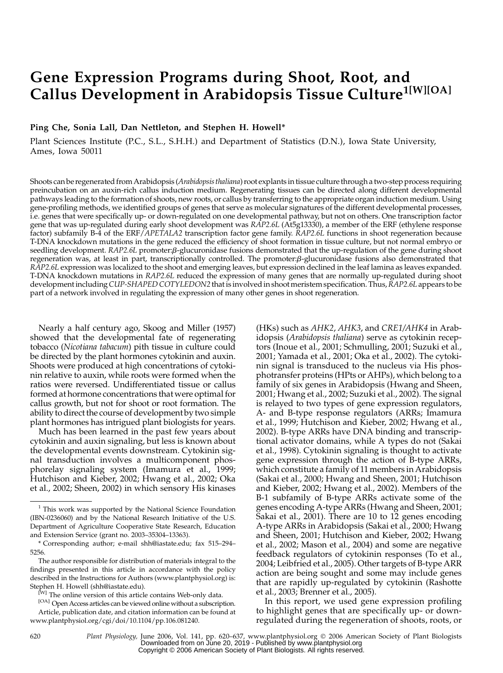# Gene Expression Programs during Shoot, Root, and Callus Development in Arabidopsis Tissue Culture<sup>1[W][OA]</sup>

Ping Che, Sonia Lall, Dan Nettleton, and Stephen H. Howell\*

Plant Sciences Institute (P.C., S.L., S.H.H.) and Department of Statistics (D.N.), Iowa State University, Ames, Iowa 50011

Shoots can be regenerated from Arabidopsis (Arabidopsis thaliana) root explants in tissue culture through a two-step process requiring preincubation on an auxin-rich callus induction medium. Regenerating tissues can be directed along different developmental pathways leading to the formation of shoots, new roots, or callus by transferring to the appropriate organ induction medium. Using gene-profiling methods, we identified groups of genes that serve as molecular signatures of the different developmental processes, i.e. genes that were specifically up- or down-regulated on one developmental pathway, but not on others. One transcription factor gene that was up-regulated during early shoot development was RAP2.6L (At5g13330), a member of the ERF (ethylene response factor) subfamily B-4 of the ERF/APETALA2 transcription factor gene family. RAP2.6L functions in shoot regeneration because T-DNA knockdown mutations in the gene reduced the efficiency of shoot formation in tissue culture, but not normal embryo or seedling development. RAP2.6L promoter: $\beta$ -glucuronidase fusions demonstrated that the up-regulation of the gene during shoot regeneration was, at least in part, transcriptionally controlled. The promoter: $\beta$ -glucuronidase fusions also demonstrated that RAP2.6L expression was localized to the shoot and emerging leaves, but expression declined in the leaf lamina as leaves expanded. T-DNA knockdown mutations in RAP2.6L reduced the expression of many genes that are normally up-regulated during shoot development including CUP-SHAPED COTYLEDON2 that is involved in shoot meristem specification. Thus, RAP2.6L appears to be part of a network involved in regulating the expression of many other genes in shoot regeneration.

Nearly a half century ago, Skoog and Miller (1957) showed that the developmental fate of regenerating tobacco (Nicotiana tabacum) pith tissue in culture could be directed by the plant hormones cytokinin and auxin. Shoots were produced at high concentrations of cytokinin relative to auxin, while roots were formed when the ratios were reversed. Undifferentiated tissue or callus formed at hormone concentrations that were optimal for callus growth, but not for shoot or root formation. The ability to direct the course of development by two simple plant hormones has intrigued plant biologists for years.

Much has been learned in the past few years about cytokinin and auxin signaling, but less is known about the developmental events downstream. Cytokinin signal transduction involves a multicomponent phosphorelay signaling system (Imamura et al., 1999; Hutchison and Kieber, 2002; Hwang et al., 2002; Oka et al., 2002; Sheen, 2002) in which sensory His kinases

idopsis (Arabidopsis thaliana) serve as cytokinin receptors (Inoue et al., 2001; Schmulling, 2001; Suzuki et al., 2001; Yamada et al., 2001; Oka et al., 2002). The cytokinin signal is transduced to the nucleus via His phosphotransfer proteins (HPts or AHPs), which belong to a family of six genes in Arabidopsis (Hwang and Sheen, 2001; Hwang et al., 2002; Suzuki et al., 2002). The signal is relayed to two types of gene expression regulators, A- and B-type response regulators (ARRs; Imamura et al., 1999; Hutchison and Kieber, 2002; Hwang et al., 2002). B-type ARRs have DNA binding and transcriptional activator domains, while A types do not (Sakai et al., 1998). Cytokinin signaling is thought to activate gene expression through the action of B-type ARRs, which constitute a family of 11 members in Arabidopsis (Sakai et al., 2000; Hwang and Sheen, 2001; Hutchison and Kieber, 2002; Hwang et al., 2002). Members of the B-1 subfamily of B-type ARRs activate some of the genes encoding A-type ARRs (Hwang and Sheen, 2001; Sakai et al., 2001). There are 10 to 12 genes encoding A-type ARRs in Arabidopsis (Sakai et al., 2000; Hwang and Sheen, 2001; Hutchison and Kieber, 2002; Hwang et al., 2002; Mason et al., 2004) and some are negative feedback regulators of cytokinin responses (To et al., 2004; Leibfried et al., 2005). Other targets of B-type ARR action are being sought and some may include genes that are rapidly up-regulated by cytokinin (Rashotte et al., 2003; Brenner et al., 2005).

(HKs) such as AHK2, AHK3, and CRE1/AHK4 in Arab-

In this report, we used gene expression profiling to highlight genes that are specifically up- or downregulated during the regeneration of shoots, roots, or

 $1$  This work was supported by the National Science Foundation (IBN-0236060) and by the National Research Initiative of the U.S. Department of Agriculture Cooperative State Research, Education and Extension Service (grant no. 2003–35304–13363).

<sup>\*</sup> Corresponding author; e-mail shh@iastate.edu; fax 515–294– 5256.

The author responsible for distribution of materials integral to the findings presented in this article in accordance with the policy described in the Instructions for Authors (www.plantphysiol.org) is: Stephen H. Howell (shh@iastate.edu).

<sup>&</sup>lt;sup>[W]</sup> The online version of this article contains Web-only data.

<sup>[</sup>OA] Open Access articles can be viewed online without a subscription. Article, publication date, and citation information can be found at www.plantphysiol.org/cgi/doi/10.1104/pp.106.081240.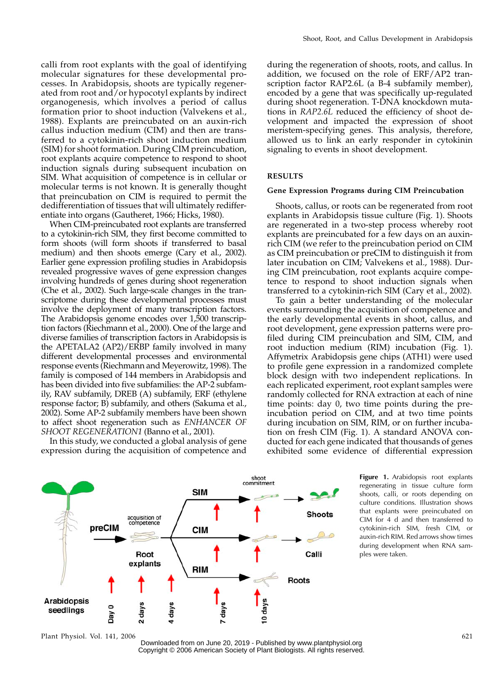calli from root explants with the goal of identifying molecular signatures for these developmental processes. In Arabidopsis, shoots are typically regenerated from root and/or hypocotyl explants by indirect organogenesis, which involves a period of callus formation prior to shoot induction (Valvekens et al., 1988). Explants are preincubated on an auxin-rich callus induction medium (CIM) and then are transferred to a cytokinin-rich shoot induction medium (SIM) for shoot formation. During CIM preincubation, root explants acquire competence to respond to shoot induction signals during subsequent incubation on SIM. What acquisition of competence is in cellular or molecular terms is not known. It is generally thought that preincubation on CIM is required to permit the dedifferentiation of tissues that will ultimately redifferentiate into organs (Gautheret, 1966; Hicks, 1980).

When CIM-preincubated root explants are transferred to a cytokinin-rich SIM, they first become committed to form shoots (will form shoots if transferred to basal medium) and then shoots emerge (Cary et al., 2002). Earlier gene expression profiling studies in Arabidopsis revealed progressive waves of gene expression changes involving hundreds of genes during shoot regeneration (Che et al., 2002). Such large-scale changes in the transcriptome during these developmental processes must involve the deployment of many transcription factors. The Arabidopsis genome encodes over 1,500 transcription factors (Riechmann et al., 2000). One of the large and diverse families of transcription factors in Arabidopsis is the APETALA2 (AP2)/ERBP family involved in many different developmental processes and environmental response events (Riechmann and Meyerowitz, 1998). The family is composed of 144 members in Arabidopsis and has been divided into five subfamilies: the AP-2 subfamily, RAV subfamily, DREB (A) subfamily, ERF (ethylene response factor; B) subfamily, and others (Sakuma et al., 2002). Some AP-2 subfamily members have been shown to affect shoot regeneration such as ENHANCER OF SHOOT REGENERATION1 (Banno et al., 2001).

In this study, we conducted a global analysis of gene expression during the acquisition of competence and

during the regeneration of shoots, roots, and callus. In addition, we focused on the role of ERF/AP2 transcription factor RAP2.6L (a B-4 subfamily member), encoded by a gene that was specifically up-regulated during shoot regeneration. T-DNA knockdown mutations in RAP2.6L reduced the efficiency of shoot development and impacted the expression of shoot meristem-specifying genes. This analysis, therefore, allowed us to link an early responder in cytokinin signaling to events in shoot development.

## RESULTS

### Gene Expression Programs during CIM Preincubation

Shoots, callus, or roots can be regenerated from root explants in Arabidopsis tissue culture (Fig. 1). Shoots are regenerated in a two-step process whereby root explants are preincubated for a few days on an auxinrich CIM (we refer to the preincubation period on CIM as CIM preincubation or preCIM to distinguish it from later incubation on CIM; Valvekens et al., 1988). During CIM preincubation, root explants acquire competence to respond to shoot induction signals when transferred to a cytokinin-rich SIM (Cary et al., 2002).

To gain a better understanding of the molecular events surrounding the acquisition of competence and the early developmental events in shoot, callus, and root development, gene expression patterns were profiled during CIM preincubation and SIM, CIM, and root induction medium (RIM) incubation (Fig. 1). Affymetrix Arabidopsis gene chips (ATH1) were used to profile gene expression in a randomized complete block design with two independent replications. In each replicated experiment, root explant samples were randomly collected for RNA extraction at each of nine time points: day 0, two time points during the preincubation period on CIM, and at two time points during incubation on SIM, RIM, or on further incubation on fresh CIM (Fig. 1). A standard ANOVA conducted for each gene indicated that thousands of genes exhibited some evidence of differential expression



Figure 1. Arabidopsis root explants regenerating in tissue culture form shoots, calli, or roots depending on culture conditions. Illustration shows that explants were preincubated on CIM for 4 d and then transferred to cytokinin-rich SIM, fresh CIM, or auxin-rich RIM. Red arrows show times during development when RNA samples were taken.

Plant Physiol. Vol. 141, 2006 621

Downloaded from on June 20, 2019 - Published by [www.plantphysiol.org](http://www.plantphysiol.org) Copyright © 2006 American Society of Plant Biologists. All rights reserved.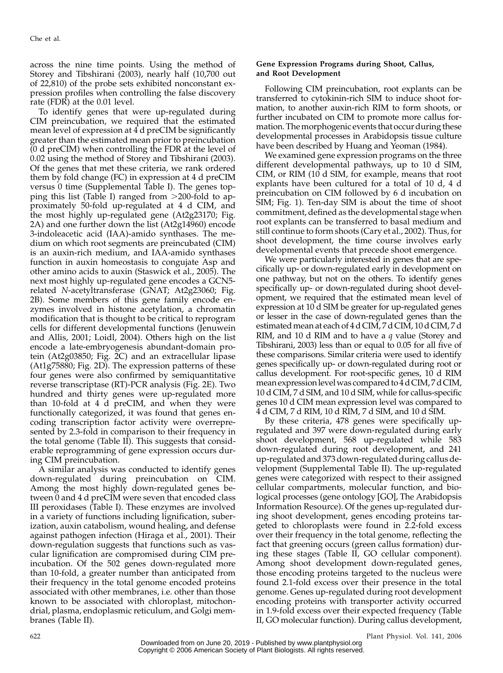across the nine time points. Using the method of Storey and Tibshirani (2003), nearly half (10,700 out of 22,810) of the probe sets exhibited nonconstant expression profiles when controlling the false discovery rate (FDR) at the 0.01 level.

To identify genes that were up-regulated during CIM preincubation, we required that the estimated mean level of expression at 4 d preCIM be significantly greater than the estimated mean prior to preincubation (0 d preCIM) when controlling the FDR at the level of 0.02 using the method of Storey and Tibshirani (2003). Of the genes that met these criteria, we rank ordered them by fold change (FC) in expression at 4 d preCIM versus 0 time (Supplemental Table I). The genes topping this list (Table I) ranged from  $>$ 200-fold to approximately 50-fold up-regulated at 4 d CIM, and the most highly up-regulated gene (At2g23170; Fig. 2A) and one further down the list (At2g14960) encode 3-indoleacetic acid (IAA)-amido synthases. The medium on which root segments are preincubated (CIM) is an auxin-rich medium, and IAA-amido synthases function in auxin homeostasis to congujate Asp and other amino acids to auxin (Staswick et al., 2005). The next most highly up-regulated gene encodes a GCN5 related N-acetyltransferase (GNAT; At2g23060; Fig. 2B). Some members of this gene family encode enzymes involved in histone acetylation, a chromatin modification that is thought to be critical to reprogram cells for different developmental functions (Jenuwein and Allis, 2001; Loidl, 2004). Others high on the list encode a late-embryogenesis abundant-domain protein (At2g03850; Fig. 2C) and an extracellular lipase (At1g75880; Fig. 2D). The expression patterns of these four genes were also confirmed by semiquantitative reverse transcriptase (RT)-PCR analysis (Fig. 2E). Two hundred and thirty genes were up-regulated more than 10-fold at 4 d preCIM, and when they were functionally categorized, it was found that genes encoding transcription factor activity were overrepresented by 2.3-fold in comparison to their frequency in the total genome (Table II). This suggests that considerable reprogramming of gene expression occurs during CIM preincubation.

A similar analysis was conducted to identify genes down-regulated during preincubation on CIM. Among the most highly down-regulated genes between 0 and 4 d preCIM were seven that encoded class III peroxidases (Table I). These enzymes are involved in a variety of functions including lignification, suberization, auxin catabolism, wound healing, and defense against pathogen infection (Hiraga et al., 2001). Their down-regulation suggests that functions such as vascular lignification are compromised during CIM preincubation. Of the 502 genes down-regulated more than 10-fold, a greater number than anticipated from their frequency in the total genome encoded proteins associated with other membranes, i.e. other than those known to be associated with chloroplast, mitochondrial, plasma, endoplasmic reticulum, and Golgi membranes (Table II).

## Gene Expression Programs during Shoot, Callus, and Root Development

Following CIM preincubation, root explants can be transferred to cytokinin-rich SIM to induce shoot formation, to another auxin-rich RIM to form shoots, or further incubated on CIM to promote more callus formation. The morphogenic events that occur during these developmental processes in Arabidopsis tissue culture have been described by Huang and Yeoman (1984).

We examined gene expression programs on the three different developmental pathways, up to 10 d SIM, CIM, or RIM  $(10 d)$  SIM, for example, means that root explants have been cultured for a total of 10 d, 4 d preincubation on CIM followed by 6 d incubation on SIM; Fig. 1). Ten-day SIM is about the time of shoot commitment, defined as the developmental stage when root explants can be transferred to basal medium and still continue to form shoots (Cary et al., 2002). Thus, for shoot development, the time course involves early developmental events that precede shoot emergence.

We were particularly interested in genes that are specifically up- or down-regulated early in development on one pathway, but not on the others. To identify genes specifically up- or down-regulated during shoot development, we required that the estimated mean level of expression at 10 d SIM be greater for up-regulated genes or lesser in the case of down-regulated genes than the estimated mean at each of 4 d CIM, 7 d CIM, 10 d CIM, 7 d RIM, and 10 d RIM and to have a  $q$  value (Storey and Tibshirani, 2003) less than or equal to 0.05 for all five of these comparisons. Similar criteria were used to identify genes specifically up- or down-regulated during root or callus development. For root-specific genes, 10 d RIM mean expression level was compared to 4 d CIM, 7 d CIM, 10 d CIM, 7 d SIM, and 10 d SIM, while for callus-specific genes 10 d CIM mean expression level was compared to 4 d CIM, 7 d RIM, 10 d RIM, 7 d SIM, and 10 d SIM.

By these criteria, 478 genes were specifically upregulated and 397 were down-regulated during early shoot development, 568 up-regulated while 583 down-regulated during root development, and 241 up-regulated and 373 down-regulated during callus development (Supplemental Table II). The up-regulated genes were categorized with respect to their assigned cellular compartments, molecular function, and biological processes (gene ontology [GO], The Arabidopsis Information Resource). Of the genes up-regulated during shoot development, genes encoding proteins targeted to chloroplasts were found in 2.2-fold excess over their frequency in the total genome, reflecting the fact that greening occurs (green callus formation) during these stages (Table II, GO cellular component). Among shoot development down-regulated genes, those encoding proteins targeted to the nucleus were found 2.1-fold excess over their presence in the total genome. Genes up-regulated during root development encoding proteins with transporter activity occurred in 1.9-fold excess over their expected frequency (Table II, GO molecular function). During callus development,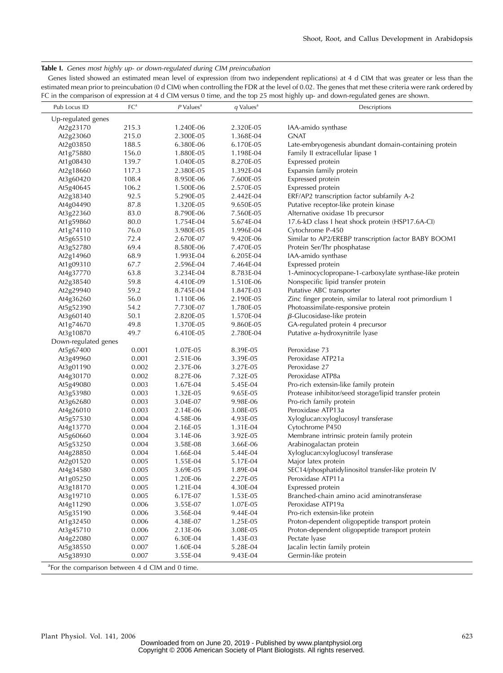Table I. Genes most highly up- or down-regulated during CIM preincubation

Genes listed showed an estimated mean level of expression (from two independent replications) at 4 d CIM that was greater or less than the estimated mean prior to preincubation (0 d CIM) when controlling the FDR at the level of 0.02. The genes that met these criteria were rank ordered by FC in the comparison of expression at 4 d CIM versus 0 time, and the top 25 most highly up- and down-regulated genes are shown.

| Pub Locus ID                                                | FC <sup>a</sup> | $P$ Values <sup>a</sup> | $q$ Values <sup>a</sup> | Descriptions                                              |
|-------------------------------------------------------------|-----------------|-------------------------|-------------------------|-----------------------------------------------------------|
| Up-regulated genes                                          |                 |                         |                         |                                                           |
| At2g23170                                                   | 215.3           | 1.240E-06               | 2.320E-05               | IAA-amido synthase                                        |
| At2g23060                                                   | 215.0           | 2.300E-05               | 1.368E-04               | <b>GNAT</b>                                               |
| At2g03850                                                   | 188.5           | 6.380E-06               | 6.170E-05               | Late-embryogenesis abundant domain-containing protein     |
| At1g75880                                                   | 156.0           | 1.880E-05               | 1.198E-04               | Family II extracellular lipase 1                          |
| At1g08430                                                   | 139.7           | 1.040E-05               | 8.270E-05               | Expressed protein                                         |
| At2g18660                                                   | 117.3           | 2.380E-05               | 1.392E-04               | Expansin family protein                                   |
| At3g60420                                                   | 108.4           | 8.950E-06               | 7.600E-05               | Expressed protein                                         |
| At5g40645                                                   | 106.2           | 1.500E-06               | 2.570E-05               | Expressed protein                                         |
| At2g38340                                                   | 92.5            | 5.290E-05               | 2.442E-04               | ERF/AP2 transcription factor subfamily A-2                |
| At4g04490                                                   | 87.8            | 1.320E-05               | 9.650E-05               | Putative receptor-like protein kinase                     |
| At3g22360                                                   | 83.0            | 8.790E-06               | 7.560E-05               | Alternative oxidase 1b precursor                          |
| At1g59860                                                   | 80.0            | 1.754E-04               | 5.674E-04               | 17.6-kD class I heat shock protein (HSP17.6A-CI)          |
| At1g74110                                                   | 76.0            | 3.980E-05               | 1.996E-04               | Cytochrome P-450                                          |
| At5g65510                                                   | 72.4            | 2.670E-07               | 9.420E-06               | Similar to AP2/EREBP transcription factor BABY BOOM1      |
| At3g52780                                                   | 69.4            | 8.580E-06               | 7.470E-05               | Protein Ser/Thr phosphatase                               |
| At2g14960                                                   | 68.9            | 1.993E-04               | 6.205E-04               | IAA-amido synthase                                        |
| At1g09310                                                   | 67.7            | 2.596E-04               | 7.464E-04               | Expressed protein                                         |
| At4g37770                                                   | 63.8            | 3.234E-04               | 8.783E-04               | 1-Aminocyclopropane-1-carboxylate synthase-like protein   |
| At2g38540                                                   | 59.8            | 4.410E-09               | 1.510E-06               | Nonspecific lipid transfer protein                        |
| At2g29940                                                   | 59.2            | 8.745E-04               | 1.847E-03               | Putative ABC transporter                                  |
| At4g36260                                                   | 56.0            | 1.110E-06               | 2.190E-05               | Zinc finger protein, similar to lateral root primordium 1 |
| At5g52390                                                   | 54.2            | 7.730E-07               | 1.780E-05               | Photoassimilate-responsive protein                        |
| At3g60140                                                   | 50.1            | 2.820E-05               | 1.570E-04               | $\beta$ -Glucosidase-like protein                         |
| At1g74670                                                   | 49.8            | 1.370E-05               | 9.860E-05               | GA-regulated protein 4 precursor                          |
| At3g10870                                                   | 49.7            | 6.410E-05               | 2.780E-04               | Putative $\alpha$ -hydroxynitrile lyase                   |
| Down-regulated genes                                        |                 |                         |                         |                                                           |
| At5g67400                                                   | 0.001           | 1.07E-05                | 8.39E-05                | Peroxidase 73                                             |
| At3g49960                                                   | 0.001           | 2.51E-06                | 3.39E-05                | Peroxidase ATP21a                                         |
| At3g01190                                                   | 0.002           | 2.37E-06                | 3.27E-05                | Peroxidase 27                                             |
| At4g30170                                                   | 0.002           | 8.27E-06                | 7.32E-05                | Peroxidase ATP8a                                          |
| At5g49080                                                   | 0.003           | 1.67E-04                | 5.45E-04                | Pro-rich extensin-like family protein                     |
| At3g53980                                                   | 0.003           | 1.32E-05                | 9.65E-05                | Protease inhibitor/seed storage/lipid transfer protein    |
| At3g62680                                                   | 0.003           | 3.04E-07                | 9.98E-06                | Pro-rich family protein                                   |
| At4g26010                                                   | 0.003           | 2.14E-06                | 3.08E-05                | Peroxidase ATP13a                                         |
| At5g57530                                                   | 0.004           | 4.58E-06                | 4.93E-05                | Xyloglucan:xyloglucosyl transferase                       |
| At4g13770                                                   | 0.004           | 2.16E-05                | 1.31E-04                | Cytochrome P450                                           |
| At5g60660                                                   | 0.004           | 3.14E-06                | 3.92E-05                | Membrane intrinsic protein family protein                 |
| At5g53250                                                   | 0.004           | 3.58E-08                | 3.66E-06                | Arabinogalactan protein                                   |
| At4g28850                                                   | 0.004           | 1.66E-04                | 5.44E-04                | Xyloglucan:xyloglucosyl transferase                       |
| At2g01520                                                   | 0.005           | 1.55E-04                | 5.17E-04                | Major latex protein                                       |
| At4g34580                                                   | 0.005           | 3.69E-05                | 1.89E-04                | SEC14/phosphatidylinositol transfer-like protein IV       |
| At1g05250                                                   | 0.005           | 1.20E-06                | 2.27E-05                | Peroxidase ATP11a                                         |
| At3g18170                                                   | 0.005           | 1.21E-04                | 4.30E-04                | Expressed protein                                         |
| At3g19710                                                   | 0.005           | 6.17E-07                | 1.53E-05                | Branched-chain amino acid aminotransferase                |
| At4g11290                                                   | 0.006           | 3.55E-07                | 1.07E-05                | Peroxidase ATP19a                                         |
| At5g35190                                                   | 0.006           | 3.56E-04                | 9.44E-04                | Pro-rich extensin-like protein                            |
| At1g32450                                                   | 0.006           | 4.38E-07                | 1.25E-05                | Proton-dependent oligopeptide transport protein           |
| At3g45710                                                   | 0.006           | 2.13E-06                | 3.08E-05                | Proton-dependent oligopeptide transport protein           |
| At4g22080                                                   | 0.007<br>0.007  | 6.30E-04                | 1.43E-03                | Pectate lyase<br>Jacalin lectin family protein            |
| At5g38550                                                   | 0.007           | 1.60E-04                | 5.28E-04                |                                                           |
| At5g38930                                                   |                 | 3.55E-04                | 9.43E-04                | Germin-like protein                                       |
| <sup>a</sup> For the comparison between 4 d CIM and 0 time. |                 |                         |                         |                                                           |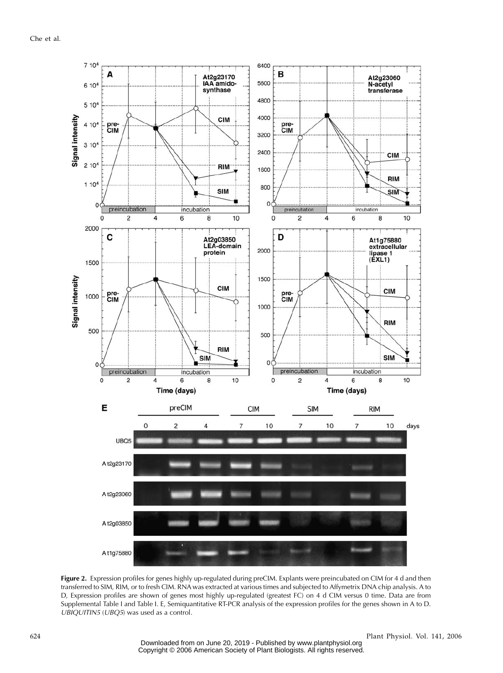

Figure 2. Expression profiles for genes highly up-regulated during preCIM. Explants were preincubated on CIM for 4 d and then transferred to SIM, RIM, or to fresh CIM. RNA was extracted at various times and subjected to Affymetrix DNA chip analysis. A to D, Expression profiles are shown of genes most highly up-regulated (greatest FC) on 4 d CIM versus 0 time. Data are from Supplemental Table I and Table I. E, Semiquantitative RT-PCR analysis of the expression profiles for the genes shown in A to D. UBIQUITIN5 (UBQ5) was used as a control.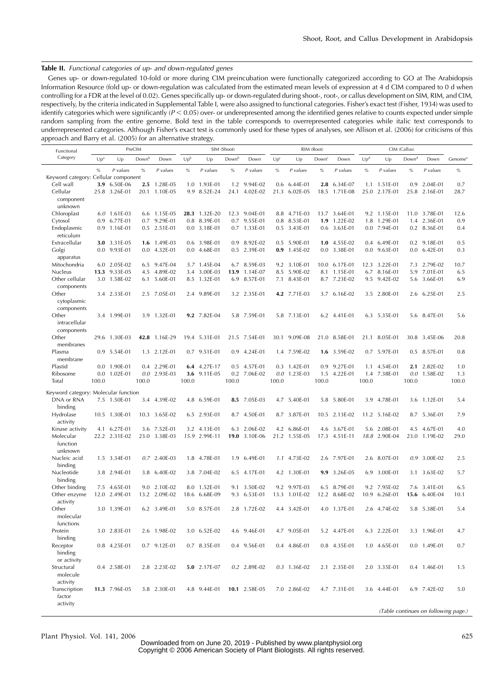## Table II. Functional categories of up- and down-regulated genes

Genes up- or down-regulated 10-fold or more during CIM preincubation were functionally categorized according to GO at The Arabidopsis Information Resource (fold up- or down-regulation was calculated from the estimated mean levels of expression at 4 d CIM compared to 0 d when controlling for a FDR at the level of 0.02). Genes specifically up- or down-regulated during shoot-, root-, or callus development on SIM, RIM, and CIM, respectively, by the criteria indicated in Supplemental Table I, were also assigned to functional categories. Fisher's exact test (Fisher, 1934) was used to identify categories which were significantly  $(P < 0.05)$  over- or underepresented among the identified genes relative to counts expected under simple random sampling from the entire genome. Bold text in the table corresponds to overrepresented categories while italic text corresponds to underrepresented categories. Although Fisher's exact test is commonly used for these types of analyses, see Allison et al. (2006) for criticisms of this approach and Barry et al. (2005) for an alternative strategy.

| Functional                           | PreCIM          |               |                   |                | SIM (Shoot)     |               |       |               |                 | RIM (Root)     |                   | CIM (Callus)         |                 |                |                   |                                     |                     |
|--------------------------------------|-----------------|---------------|-------------------|----------------|-----------------|---------------|-------|---------------|-----------------|----------------|-------------------|----------------------|-----------------|----------------|-------------------|-------------------------------------|---------------------|
| Category                             | Up <sup>a</sup> | Up            | Down <sup>b</sup> | Down           | Up <sup>b</sup> | Up            | Downb | Down          | Up <sup>c</sup> | Up             | Down <sup>c</sup> | Down                 | Up <sup>d</sup> | Up             | Down <sup>d</sup> | Down                                | Genome <sup>e</sup> |
| Keyword category: Cellular component | $\%$            | P values      | $\%$              | P values       | $\%$            | P values      | $\%$  | P values      | $\%$            | P values       | $\%$              | P values             | $\%$            | P values       | $\%$              | P values                            | $\%$                |
| Cell wall                            | 3.9             | 6.50E-06      | 2.5               | 1.28E-05       | 1.0             | 1.93E-01      | 1.2   | 9.94E-02      |                 | $0.6$ 6.44E-01 | 2.8               | 6.34E-07             | 1.1             | 1.51E-01       | 0.9               | 2.04E-01                            | 0.7                 |
| Cellular                             |                 | 25.8 3.26E-01 |                   | 20.1 1.10E-05  |                 | 9.9 8.52E-24  |       | 24.1 4.02E-02 |                 | 21.3 6.02E-05  |                   | 18.5 1.71E-08        |                 | 25.0 2.17E-01  |                   | 25.8 2.16E-01                       | 28.7                |
| component                            |                 |               |                   |                |                 |               |       |               |                 |                |                   |                      |                 |                |                   |                                     |                     |
| unknown                              |                 |               |                   |                |                 |               |       |               |                 |                |                   |                      |                 |                |                   |                                     |                     |
| Chloroplast                          |                 | 6.0 1.61E-03  |                   | 6.6 1.15E-05   |                 | 28.3 1.32E-20 |       | 12.3 9.04E-01 |                 | 8.8 4.71E-03   |                   | 13.7 3.64E-01        |                 | 9.2 1.15E-01   |                   | 11.0 3.78E-01                       | 12.6                |
|                                      | 0.9             | 6.77E-01      | 0.7               | 9.29E-01       | 0.8             | 8.39E-01      |       | 0.7 9.55E-01  |                 | 0.8 8.53E-01   | 1.9               | 1.22E-02             | 1.8             | 1.29E-01       |                   | 1.4 2.36E-01                        | 0.9                 |
| Cytosol                              |                 | 0.9 1.16E-01  | 0.5               | 2.51E-01       |                 | 0.0 3.18E-01  |       | 0.7 1.33E-01  |                 | 0.5 3.43E-01   |                   | 0.6 3.63E-01         |                 | 0.0 7.94E-01   |                   | 0.2 8.36E-01                        | 0.4                 |
| Endoplasmic<br>reticulum             |                 |               |                   |                |                 |               |       |               |                 |                |                   |                      |                 |                |                   |                                     |                     |
| Extracellular                        |                 | 3.0 3.31E-05  | 1.6               | 1.49E-03       |                 | 0.6 3.98E-01  | 0.9   | 8.92E-02      |                 | 0.5 5.90E-01   |                   | $1.0 \quad 4.55E-02$ |                 | 0.4 6.49E-01   |                   | 0.2 9.18E-01                        | 0.5                 |
| Golgi                                |                 | 0.0 9.93E-01  | 0.0               | 4.32E-01       |                 | $0.04.68E-01$ |       | 0.5 2.39E-01  |                 | 0.9 1.45E-02   |                   | 0.0 3.38E-01         |                 | $0.0$ 9.63E-01 |                   | $0.0$ 6.42E-01                      | 0.3                 |
| apparatus                            |                 |               |                   |                |                 |               |       |               |                 |                |                   |                      |                 |                |                   |                                     |                     |
| Mitochondria                         |                 | 6.0 2.05E-02  | 6.5               | 9.47E-04       |                 | 5.7 1.45E-04  |       | 6.7 8.59E-03  |                 | 9.2 3.10E-01   |                   | 10.0 6.17E-01        |                 | 12.3 3.22E-01  |                   | 7.3 2.79E-02                        | 10.7                |
| Nucleus                              | 13.3            | 9.33E-05      | 4.5               | 4.89E-02       |                 | 3.4 3.00E-03  |       | 13.9 1.14E-07 |                 | 8.5 5.90E-02   |                   | 8.1 1.15E-01         |                 | 6.7 8.16E-01   |                   | 5.9 7.01E-01                        | 6.5                 |
| Other cellular                       |                 | 3.0 1.58E-02  | 6.1               | 5.60E-01       |                 | 8.5 1.32E-01  |       | 6.9 8.57E-01  |                 | 7.1 8.43E-01   |                   | 8.7 7.23E-02         |                 | 9.5 9.42E-02   |                   | 5.6 3.66E-01                        | 6.9                 |
| components                           |                 |               |                   |                |                 |               |       |               |                 |                |                   |                      |                 |                |                   |                                     |                     |
| Other<br>cytoplasmic                 |                 | 3.4 2.33E-01  | 2.5               | 7.05E-01       |                 | 2.4 9.89E-01  |       | 3.2 2.35E-01  |                 | 4.2 7.71E-03   |                   | 3.7 6.16E-02         |                 | 3.5 2.80E-01   |                   | 2.6 6.25E-01                        | 2.5                 |
| components                           |                 |               |                   |                |                 |               |       |               |                 |                |                   |                      |                 |                |                   |                                     |                     |
| Other                                |                 | 3.4 1.99E-01  |                   | 3.9 1.32E-01   |                 | 9.2 7.82E-04  |       | 5.8 7.59E-01  |                 | 5.8 7.13E-01   |                   | 6.2 4.41E-01         |                 | 6.3 5.35E-01   |                   | 5.6 8.47E-01                        | 5.6                 |
| intracellular                        |                 |               |                   |                |                 |               |       |               |                 |                |                   |                      |                 |                |                   |                                     |                     |
|                                      |                 |               |                   |                |                 |               |       |               |                 |                |                   |                      |                 |                |                   |                                     |                     |
| components                           |                 |               |                   |                |                 |               |       |               |                 |                |                   |                      |                 |                |                   |                                     |                     |
| Other                                |                 | 29.6 1.30E-03 |                   | 42.8 1.16E-29  |                 | 19.4 5.31E-01 |       | 21.5 7.54E-01 |                 | 30.1 9.09E-08  |                   | 21.0 8.58E-01        |                 | 21.1 8.05E-01  |                   | 30.8 3.45E-06                       | 20.8                |
| membranes                            |                 |               |                   |                |                 |               |       |               |                 |                |                   |                      |                 |                |                   |                                     |                     |
| Plasma                               |                 | 0.9 5.54E-01  |                   | 1.3 2.12E-01   |                 | 0.7 9.51E-01  |       | 0.9 4.24E-01  |                 | 1.4 7.59E-02   |                   | 1.6 3.59E-02         |                 | 0.7 5.97E-01   |                   | 0.5 8.57E-01                        | 0.8                 |
| membrane                             |                 |               |                   |                |                 |               |       |               |                 |                |                   |                      |                 |                |                   |                                     |                     |
| Plastid                              |                 | 0.0 1.90E-01  | 0.4               | 2.29E-01       |                 | 6.4 4.27E-17  |       | 0.5 4.57E-01  |                 | 0.3 1.42E-01   |                   | 0.9 9.27E-01         |                 | 1.1 4.54E-01   |                   | 2.1 2.82E-02                        | 1.0                 |
| Ribosome                             | 0.0             | 1.02E-01      |                   | $0.0$ 2.93E-03 |                 | 3.6 9.11E-05  |       | 0.2 7.06E-02  |                 | $0.0$ 1.23E-03 |                   | 1.5 4.22E-01         |                 | 1.4 7.38E-01   |                   | $0.0$ 1.58E-02                      | 1.3                 |
| Total                                | 100.0           |               | 100.0             |                | 100.0           |               | 100.0 |               | 100.0           |                | 100.0             |                      | 100.0           |                | 100.0             |                                     | 100.0               |
|                                      |                 |               |                   |                |                 |               |       |               |                 |                |                   |                      |                 |                |                   |                                     |                     |
| Keyword category: Molecular function |                 |               |                   |                |                 |               |       |               |                 |                |                   |                      |                 |                |                   |                                     |                     |
| DNA or RNA                           |                 | 7.5 1.50E-01  | 3.4               | 4.39E-02       |                 | 4.8 6.59E-01  |       | 8.5 7.05E-03  |                 | 4.7 5.40E-01   |                   | 5.8 5.80E-01         |                 | 3.9 4.78E-01   |                   | 3.6 1.12E-01                        | 5.4                 |
| binding                              |                 |               |                   |                |                 |               |       |               |                 |                |                   |                      |                 |                |                   |                                     |                     |
| Hydrolase                            |                 | 10.5 1.30E-01 |                   | 10.3 3.65E-02  |                 | 6.5 2.93E-01  |       | 8.7 4.50E-01  |                 | 8.7 3.87E-01   |                   | 10.5 2.13E-02        |                 | 11.2 5.16E-02  |                   | 8.7 5.36E-01                        | 7.9                 |
| activity                             |                 |               |                   |                |                 |               |       |               |                 |                |                   |                      |                 |                |                   |                                     |                     |
| Kinase activity                      |                 | 4.1 6.27E-01  | 3.6               | 7.52E-01       |                 | 3.2 4.13E-01  |       | 6.3 2.06E-02  |                 | 4.2 6.86E-01   |                   | 4.6 3.67E-01         |                 | 5.6 2.08E-01   |                   | 4.5 4.67E-01                        | 4.0                 |
| Molecular                            |                 | 22.2 2.31E-02 | 23.0              | 3.38E-03       |                 | 15.9 2.99E-11 |       | 19.0 3.10E-06 |                 | 21.2 1.55E-05  |                   | 17.3 4.51E-11        |                 | 18.8 2.90E-04  |                   | 23.0 1.19E-02                       | 29.0                |
| function                             |                 |               |                   |                |                 |               |       |               |                 |                |                   |                      |                 |                |                   |                                     |                     |
| unknown                              |                 |               |                   |                |                 |               |       |               |                 |                |                   |                      |                 |                |                   |                                     |                     |
| Nucleic acid                         |                 | 1.5 3.34E-01  | 0.7               | 2.40E-03       | 1.8             | 4.78E-01      | 1.9   | 6.49E-01      |                 | 1.1 4.73E-02   |                   | 2.6 7.97E-01         |                 | 2.6 8.07E-01   |                   | 0.9 3.00E-02                        | 2.5                 |
| binding                              |                 |               |                   |                |                 |               |       |               |                 |                |                   |                      |                 |                |                   |                                     |                     |
| Nucleotide                           |                 | 3.8 2.94E-01  | 3.8               | 6.40E-02       |                 | 3.8 7.04E-02  |       | 6.5 4.17E-01  |                 | 4.2 1.30E-01   |                   | 9.9 3.26E-05         |                 | 6.9 3.00E-01   |                   | 3.1 3.63E-02                        | 5.7                 |
| binding                              |                 |               |                   |                |                 |               |       |               |                 |                |                   |                      |                 |                |                   |                                     |                     |
| Other binding                        |                 | 7.5 4.65E-01  |                   | 9.0 2.10E-02   |                 | 8.0 1.52E-01  | 9.1   | 3.50E-02      |                 | 9.2 9.97E-03   |                   | 6.5 8.79E-01         |                 | 9.2 7.95E-02   |                   | 7.6 3.41E-01                        | 6.5                 |
| Other enzyme                         |                 | 12.0 2.49E-01 | 13.2              | 2.09E-02       | 18.6            | 6.68E-09      | 9.3   | 6.53E-01      |                 | 13.3 1.01E-02  |                   | 12.2 8.68E-02        |                 | 10.9 6.26E-01  | 15.6              | 6.40E-04                            | 10.1                |
| activity                             |                 |               |                   |                |                 |               |       |               |                 |                |                   |                      |                 |                |                   |                                     |                     |
| Other                                |                 | 3.0 1.39E-01  | 6.2               | 3.49E-01       |                 | 5.0 8.57E-01  |       | 2.8 1.72E-02  |                 | 4.4 3.42E-01   |                   | 4.0 1.37E-01         |                 | 2.6 4.74E-02   |                   | 5.8 5.38E-01                        | 5.4                 |
| molecular                            |                 |               |                   |                |                 |               |       |               |                 |                |                   |                      |                 |                |                   |                                     |                     |
| functions                            |                 |               |                   |                |                 |               |       |               |                 |                |                   |                      |                 |                |                   |                                     |                     |
| Protein                              |                 | 3.0 2.83E-01  |                   | 2.6 1.98E-02   |                 | 3.0 6.52E-02  |       | 4.6 9.46E-01  |                 | 4.7 9.05E-01   |                   | 5.2 4.47E-01         |                 | 6.3 2.22E-01   |                   | 3.3 1.96E-01                        |                     |
| binding                              |                 |               |                   |                |                 |               |       |               |                 |                |                   |                      |                 |                |                   |                                     |                     |
| Receptor                             |                 | 0.8 4.25E-01  |                   | 0.7 9.12E-01   |                 | 0.7 8.35E-01  |       | 0.4 9.56E-01  |                 | 0.4 4.86E-01   |                   | 0.8 4.35E-01         |                 | 1.0 4.65E-01   |                   | 0.0 1.49E-01                        | 0.7                 |
| binding                              |                 |               |                   |                |                 |               |       |               |                 |                |                   |                      |                 |                |                   |                                     |                     |
| or activity                          |                 |               |                   |                |                 |               |       |               |                 |                |                   |                      |                 |                |                   |                                     |                     |
| Structural                           |                 | 0.4 2.58E-01  |                   | 2.8 2.23E-02   |                 | 5.0 2.17E-07  |       | 0.2 2.89E-02  |                 | 0.3 1.36E-02   |                   | 2.1 2.35E-01         |                 | 2.0 3.35E-01   |                   | 0.4 1.46E-01                        | 1.5                 |
| molecule                             |                 |               |                   |                |                 |               |       |               |                 |                |                   |                      |                 |                |                   |                                     |                     |
| activity                             |                 |               |                   |                |                 |               |       |               |                 |                |                   |                      |                 |                |                   |                                     |                     |
| Transcription                        |                 | 11.3 7.96E-05 |                   | 3.8 2.30E-01   |                 | 4.8 9.44E-01  |       | 10.1 2.58E-05 |                 | 7.0 2.86E-02   |                   | 4.7 7.31E-01         |                 | 3.6 4.44E-01   |                   | 6.9 7.42E-02                        | 5.0                 |
| factor                               |                 |               |                   |                |                 |               |       |               |                 |                |                   |                      |                 |                |                   |                                     |                     |
| activity                             |                 |               |                   |                |                 |               |       |               |                 |                |                   |                      |                 |                |                   |                                     |                     |
|                                      |                 |               |                   |                |                 |               |       |               |                 |                |                   |                      |                 |                |                   | (Table continues on following nage) |                     |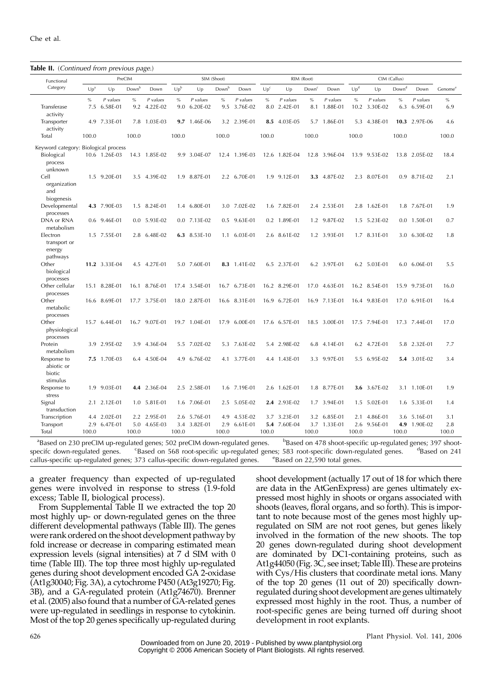| <b>Table II.</b> (Continued from previous page.) |                 |                      |             |                      |             |                      |                   |                      |                 |                          |                   |                      |                 |                           |                   |                      |                     |
|--------------------------------------------------|-----------------|----------------------|-------------|----------------------|-------------|----------------------|-------------------|----------------------|-----------------|--------------------------|-------------------|----------------------|-----------------|---------------------------|-------------------|----------------------|---------------------|
| Functional                                       |                 |                      | PreCIM      |                      |             |                      | SIM (Shoot)       |                      |                 |                          | RIM (Root)        |                      |                 |                           | CIM (Callus)      |                      |                     |
| Category                                         | Up <sup>a</sup> | Up                   | Down        | Down                 | $Up^b$      | Up                   | Down <sup>b</sup> | Down                 | Up <sup>c</sup> | Up                       | Down <sup>o</sup> | Down                 | Up <sup>d</sup> | Up                        | Down <sup>d</sup> | Down                 | Genome <sup>6</sup> |
| Transferase<br>activity                          | $\%$<br>7.5     | P values<br>6.58E-01 | $\%$<br>9.2 | P values<br>4.22E-02 | $\%$<br>9.0 | P values<br>6.20E-02 | $\%$<br>9.5       | P values<br>3.76E-02 | %               | P values<br>8.0 2.42E-01 | $\%$<br>8.1       | P values<br>1.88E-01 | $\%$            | P values<br>10.2 3.30E-02 | $\%$<br>6.3       | P values<br>6.59E-01 | $\%$<br>6.9         |
| Transporter<br>activity                          | 4.9             | 7.33E-01             |             | 7.8 1.03E-03         | 9.7         | 1.46E-06             |                   | 3.2 2.39E-01         | 8.5             | 4.03E-05                 | 5.7               | 1.86E-01             | 5.3             | 4.38E-01                  |                   | 10.3 2.97E-06        | 4.6                 |
| Total                                            | 100.0           |                      | 100.0       |                      | 100.0       |                      | 100.0             |                      | 100.0           |                          | 100.0             |                      | 100.0           |                           | 100.0             |                      | 100.0               |
| Keyword category: Biological process             |                 |                      |             |                      |             |                      |                   |                      |                 |                          |                   |                      |                 |                           |                   |                      |                     |
| Biological<br>process<br>unknown                 |                 | 10.6 1.26E-03        |             | 14.3 1.85E-02        |             | 9.9 3.04E-07         |                   | 12.4 1.39E-03        |                 | 12.6 1.82E-04            |                   | 12.8 3.96E-04        |                 | 13.9 9.53E-02             |                   | 13.8 2.05E-02        | 18.4                |
| Cell<br>organization<br>and<br>biogenesis        |                 | 1.5 9.20E-01         |             | 3.5 4.39E-02         |             | 1.9 8.87E-01         |                   | 2.2 6.70E-01         |                 | 1.9 9.12E-01             |                   | 3.3 4.87E-02         |                 | 2.3 8.07E-01              |                   | 0.9 8.71E-02         | 2.1                 |
| Developmental<br>processes                       |                 | 4.3 7.90E-03         |             | 1.5 8.24E-01         |             | 1.4 6.80E-01         |                   | 3.0 7.02E-02         |                 | 1.6 7.82E-01             |                   | 2.4 2.53E-01         |                 | 2.8 1.62E-01              | 1.8               | 7.67E-01             | 1.9                 |
| DNA or RNA<br>metabolism                         |                 | 0.6 9.46E-01         |             | 0.0 5.93E-02         |             | 0.0 7.13E-02         |                   | 0.5 9.63E-01         |                 | 0.2 1.89E-01             | 1.2               | 9.87E-02             |                 | 1.5 5.23E-02              | 0.0               | 1.50E-01             | 0.7                 |
| Electron<br>transport or<br>energy<br>pathways   |                 | 1.5 7.55E-01         |             | 2.8 6.48E-02         |             | 6.3 8.53E-10         |                   | 1.1 6.03E-01         |                 | 2.6 8.61E-02             |                   | 1.2 3.93E-01         |                 | 1.7 8.31E-01              |                   | 3.0 6.30E-02         | 1.8                 |
| Other<br>biological<br>processes                 |                 | 11.2 3.33E-04        |             | 4.5 4.27E-01         |             | 5.0 7.60E-01         |                   | 8.3 1.41E-02         |                 | 6.5 2.37E-01             |                   | 6.2 3.97E-01         |                 | 6.2 5.03E-01              |                   | 6.0 6.06E-01         | 5.5                 |
| Other cellular<br>processes                      |                 | 15.1 8.28E-01        |             | 16.1 8.76E-01        |             | 17.4 3.54E-01        |                   | 16.7 6.73E-01        |                 | 16.2 8.29E-01            |                   | 17.0 4.63E-01        |                 | 16.2 8.54E-01             |                   | 15.9 9.73E-01        | 16.0                |
| Other<br>metabolic<br>processes                  |                 | 16.6 8.69E-01        |             | 17.7 3.75E-01        |             | 18.0 2.87E-01        |                   | 16.6 8.31E-01        |                 | 16.9 6.72E-01            |                   | 16.9 7.13E-01        |                 | 16.4 9.83E-01             | 17.0              | 6.91E-01             | 16.4                |
| Other<br>physiological<br>processes              |                 | 15.7 6.44E-01        |             | 16.7 9.07E-01        |             | 19.7 1.04E-01        | 17.9              | 6.00E-01             |                 | 17.6 6.57E-01            |                   | 18.5 3.00E-01        |                 | 17.5 7.94E-01             |                   | 17.3 7.44E-01        | 17.0                |
| Protein<br>metabolism                            |                 | 3.9 2.95E-02         |             | 3.9 4.36E-04         |             | 5.5 7.02E-02         |                   | 5.3 7.63E-02         |                 | 5.4 2.98E-02             |                   | 6.8 4.14E-01         |                 | 6.2 4.72E-01              |                   | 5.8 2.32E-01         | 7.7                 |
| Response to<br>abiotic or<br>biotic<br>stimulus  |                 | 7.5 1.70E-03         |             | 6.4 4.50E-04         |             | 4.9 6.76E-02         |                   | 4.1 3.77E-01         |                 | 4.4 1.43E-01             |                   | 3.3 9.97E-01         |                 | 5.5 6.95E-02              |                   | 5.4 3.01E-02         | 3.4                 |
| Response to<br>stress                            |                 | 1.9 9.03E-01         |             | 4.4 2.36E-04         |             | 2.5 2.58E-01         |                   | 1.6 7.19E-01         |                 | 2.6 1.62E-01             |                   | 1.8 8.77E-01         |                 | 3.6 3.67E-02              |                   | 3.1 1.10E-01         | 1.9                 |
| Signal<br>transduction                           |                 | 2.1 2.12E-01         |             | 1.0 5.81E-01         |             | 1.6 7.06E-01         |                   | 2.5 5.05E-02         |                 | 2.4 2.93E-02             |                   | 1.7 3.94E-01         |                 | 1.5 5.02E-01              |                   | 1.6 5.33E-01         | 1.4                 |
| Transcription                                    |                 | 4.4 2.02E-01         |             | 2.2 2.95E-01         |             | 2.6 5.76E-01         | 4.9               | 4.53E-02             |                 | 3.7 3.23E-01             | 3.2               | 6.85E-01             |                 | 2.1 4.86E-01              |                   | 3.6 5.16E-01         | 3.1                 |
| Transport<br>Total                               | 100.0           | 2.9 6.47E-01         | 100.0       | 5.0 4.65E-03         | 100.0       | 3.4 3.82E-01         | 2.9<br>100.0      | 6.61E-01             | 100.0           | 5.4 7.60E-04             | 100.0             | 3.7 1.33E-01         | 100.0           | 2.6 9.56E-01              | 100.0             | 4.9 1.90E-02         | 2.8<br>100.0        |

<sup>a</sup>Based on 230 preCIM up-regulated genes; 502 preCIM down-regulated genes. b <sup>b</sup>Based on 478 shoot-specific up-regulated genes; 397 shootspecifc down-regulated genes.  ${}^{\text{c}}$ Based on 568 root-specific up-regulated genes; 583 root-specific down-regulated genes. <sup>d</sup>Based on 241 callus-specific up-regulated genes; 373 callus-specific down-regulated genes. <sup>e</sup>Based on 22,590 total genes.

a greater frequency than expected of up-regulated genes were involved in response to stress (1.9-fold excess; Table II, biological process).

From Supplemental Table II we extracted the top 20 most highly up- or down-regulated genes on the three different developmental pathways (Table III). The genes were rank ordered on the shoot development pathway by fold increase or decrease in comparing estimated mean expression levels (signal intensities) at 7 d SIM with 0 time (Table III). The top three most highly up-regulated genes during shoot development encoded GA 2-oxidase (At1g30040; Fig. 3A), a cytochrome P450 (At3g19270; Fig. 3B), and a GA-regulated protein (At1g74670). Brenner et al. (2005) also found that a number of GA-related genes were up-regulated in seedlings in response to cytokinin. Most of the top 20 genes specifically up-regulated during

shoot development (actually 17 out of 18 for which there are data in the AtGenExpress) are genes ultimately expressed most highly in shoots or organs associated with shoots (leaves, floral organs, and so forth). This is important to note because most of the genes most highly upregulated on SIM are not root genes, but genes likely involved in the formation of the new shoots. The top 20 genes down-regulated during shoot development are dominated by DC1-containing proteins, such as At1g44050 (Fig. 3C, see inset; Table III). These are proteins with Cys/His clusters that coordinate metal ions. Many of the top 20 genes (11 out of 20) specifically downregulated during shoot development are genes ultimately expressed most highly in the root. Thus, a number of root-specific genes are being turned off during shoot development in root explants.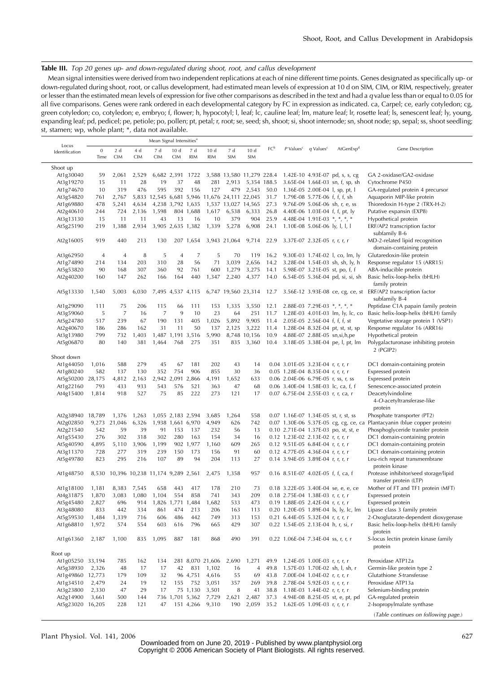# Table III. Top 20 genes up- and down-regulated during shoot, root, and callus development

Mean signal intensities were derived from two independent replications at each of nine different time points. Genes designated as specifically up- or down-regulated during shoot, root, or callus development, had estimated mean levels of expression at 10 d on SIM, CIM, or RIM, respectively, greater or lesser than the estimated mean levels of expression for five other comparisons as described in the text and had a q value less than or equal to 0.05 for all five comparisons. Genes were rank ordered in each developmental category by FC in expression as indicated. ca, Carpel; ce, early cotyledon; cg, green cotyledon; co, cotyledon; e, embryo; f, flower; h, hypocotyl; l, leaf; lc, cauline leaf; lm, mature leaf; lr, rosette leaf; ls, senescent leaf; ly, young, expanding leaf; pd, pedicel; pe, petiole; po, pollen; pt, petal; r, root; se, seed; sh, shoot; si, shoot internode; sn, shoot node; sp, sepal; ss, shoot seedling; st, stamen; wp, whole plant; \*, data not available.

|                         |                |                                  |            | Mean Signal Intensities <sup>®</sup> |                   |                   |                  |                                               |                |                 |                         |                                    |                                                          |                                                                          |
|-------------------------|----------------|----------------------------------|------------|--------------------------------------|-------------------|-------------------|------------------|-----------------------------------------------|----------------|-----------------|-------------------------|------------------------------------|----------------------------------------------------------|--------------------------------------------------------------------------|
| Locus<br>Identification | $\mathbf{0}$   | 2d                               | 4 d        | 7 d                                  | 10d               | 7 d               | 10d              | 7 d                                           | 10d            | FC <sup>b</sup> | $P$ Values <sup>c</sup> | $q$ Values <sup>c</sup>            | AtGenExp <sup>d</sup>                                    | Gene Description                                                         |
|                         | Time           | <b>CIM</b>                       | <b>CIM</b> | <b>CIM</b>                           | <b>CIM</b>        | <b>RIM</b>        | <b>RIM</b>       | SIM                                           | SIM            |                 |                         |                                    |                                                          |                                                                          |
| Shoot up                |                |                                  |            |                                      |                   |                   |                  |                                               |                |                 |                         |                                    |                                                          |                                                                          |
| At1g30040               | 59             | 2,061                            | 2,529      |                                      | 6,682 2,391 1722  |                   |                  |                                               |                |                 |                         |                                    | 3,588 13,580 11,279 228.4 1.42E-10 4.93E-07 pd, s, s, cg | GA 2-oxidase/GA2-oxidase                                                 |
| At3g19270               | 15             | 11                               | 28         | 19                                   | 37                | 48                | 281              | 2,913                                         |                |                 |                         |                                    | 5,354 188.5 3.65E-04 1.66E-03 sn, f, sp, sh              | Cytochrome P450                                                          |
| At1g74670               | 10             | 319                              | 476        | 595                                  | 392               | 156               | 127              | 479                                           | 2,543          | 50.0            |                         |                                    | 1.36E-05 2.00E-04 l, sp, pt, l                           | GA-regulated protein 4 precursor                                         |
| At3g54820               | 761            | 2,767                            |            |                                      |                   |                   |                  | 5,833 12,545 6,681 5,946 11,676 24,111 22,045 |                |                 |                         | 31.7 1.79E-08 5.77E-06 f, f, f, sh |                                                          | Aquaporin MIP-like protein                                               |
| At1g69880               | 478            | 5,241                            | 4,634      |                                      |                   | 4,238 3,792 1,635 |                  | 1,537 13,027 14,565                           |                | 27.3            |                         |                                    | 9.76E-09 5.06E-06 sh, r, e, ss                           | Thioredoxin H-type 2 (TRX-H-2)                                           |
|                         |                |                                  | 2,136      | 1,598                                |                   |                   |                  |                                               | 6,333          |                 |                         |                                    |                                                          |                                                                          |
| At2g40610               | 244            | 724                              | 11         | 43                                   | 13                | 804 1,688<br>16   | 10               | 1,617 6,538                                   |                | 26.8<br>25.9    |                         |                                    | 4.40E-06 1.03E-04 f, f, pt, ly                           | Putative expansin (EXP8)                                                 |
| At3g13130               | 15             | 11<br>1,388                      |            |                                      | 3,905 2,635 1,382 |                   |                  | 379                                           | 904            | 24.1            |                         | 4.48E-04 1.91E-03 $*, *, *, *$     |                                                          | Hypothetical protein                                                     |
| At5g25190               | 219            |                                  | 2,934      |                                      |                   |                   | 1,339            | 5,278                                         | 6,908          |                 |                         | 1.10E-08 5.06E-06 ly, l, l, l      |                                                          | ERF/AP2 transcription factor<br>subfamily B-6                            |
| At2g16005               | 919            | 440                              | 213        | 130                                  |                   | 207 1,654         |                  | 3,943 21,064                                  | 9,714          | 22.9            |                         | 3.37E-07 2.32E-05 r, r, r, r       |                                                          | MD-2-related lipid recognition                                           |
|                         |                |                                  |            |                                      |                   |                   |                  |                                               |                |                 |                         |                                    |                                                          | domain-containing protein                                                |
|                         | $\overline{4}$ | $\overline{4}$                   | 8          | 5                                    | $\overline{4}$    | $\overline{7}$    | 5                | 70                                            | 119            | 16.2            |                         |                                    |                                                          |                                                                          |
| At3g62950               |                |                                  |            |                                      |                   |                   |                  |                                               |                |                 |                         |                                    | 9.30E-03 1.74E-02 l, co, lm, ly                          | Glutaredoxin-like protein                                                |
| At1g74890               | 214            | 134                              | 203        | 310                                  | 28                | 56                | 71               | 3,039                                         | 2,656          | 14.2            |                         |                                    | 3.28E-04 1.54E-03 sh, sh, ly, h                          | Response regulator 15 (ARR15)                                            |
| At5g53820               | 90             | 168                              | 307        | 360                                  | 92                | 761               | 600              | 1,279                                         | 3,275          | 14.1            |                         |                                    | 5.98E-07 3.21E-05 st, po, f, f                           | ABA-inducible protein                                                    |
| At2g40200               | 160            | 147                              | 262        | 166                                  | 164               | 440               | 1,347            | 2,240                                         | 4,377          | 14.0            |                         |                                    | 6.54E-05 5.36E-04 pd, si, si, sh                         | Basic helix-loop-helix (bHLH)                                            |
|                         |                |                                  |            |                                      |                   |                   |                  |                                               |                |                 |                         |                                    |                                                          | family protein                                                           |
| At5g13330               | 1,540          | 5,003                            | 6,030      |                                      | 7,495 4,537 4,115 |                   |                  | 6,747 19,560 23,314                           |                | 12.7            |                         |                                    |                                                          | 3.56E-12 3.93E-08 ce, cg, ce, st ERF/AP2 transcription factor            |
|                         |                |                                  |            |                                      |                   |                   |                  |                                               |                |                 |                         |                                    |                                                          | subfamily B-4                                                            |
| At1g29090               | 111            | 75                               | 206        | 115                                  | 66                | 111               | 153              | 1,335                                         | 3,550          | 12.1            |                         | 2.88E-03 7.29E-03 $*, *, *, *$     |                                                          | Peptidase C1A papain family protein                                      |
| At3g59060               | 5              | $\overline{7}$                   | 16         | 7                                    | 9                 | 10                | 23               | 64                                            | 251            | 11.7            |                         |                                    | 1.28E-03 4.01E-03 lm, ly, lc, co                         | Basic helix-loop-helix (bHLH) family                                     |
| At5g24780               | 517            | 239                              | 67         | 190                                  | 131               | 405               | 1,026            | 5,892                                         | 9,905          | 11.4            |                         | 2.05E-05 2.56E-04 f, f, f, st      |                                                          | Vegetative storage protein 1 (VSP1)                                      |
| At2g40670               | 186            | 286                              | 162        | 31                                   | 11                | 50                | 137              | 2,125                                         | 3,222          | 11.4            |                         |                                    | 1.28E-04 8.32E-04 pt, st, st, sp                         | Response regulator 16 (ARR16)                                            |
| At3g13980               | 799            | 732                              | 1,403      |                                      | 1,487 1,191 3,516 |                   | 5,990            |                                               | 8,748 10,156   | 10.9            |                         |                                    | 4.88E-07 2.88E-05 sn,si,h,pe                             | Hypothetical protein                                                     |
| At5g06870               | 80             | 140                              | 381        | 1,464                                | 768               | 275               | 351              | 835                                           | 3,360          | 10.4            |                         |                                    | 3.18E-05 3.38E-04 pe, l, pt, lm                          | Polygalacturonase inhibiting protein                                     |
|                         |                |                                  |            |                                      |                   |                   |                  |                                               |                |                 |                         |                                    |                                                          | 2 (PGIP2)                                                                |
| Shoot down              |                |                                  |            |                                      |                   |                   |                  |                                               |                |                 |                         |                                    |                                                          |                                                                          |
| At1g44050               | 1,016          | 588                              | 279        | 45                                   | 67                | 181               | 202              | 43                                            | 14             |                 |                         | 0.04 3.01E-05 3.23E-04 r, r, r, r  |                                                          | DC1 domain-containing protein                                            |
| At1g80240               | 582            | 137                              | 130        | 352                                  | 754               | 906               | 855              | 30                                            | 36             |                 |                         | 0.05 1.28E-04 8.35E-04 r, r, r, r  |                                                          | Expressed protein                                                        |
| At5g50200               | 28,175         | 4,812                            | 2,163      |                                      | 2,942 2,091       | 2,866             | 4,191            | 1,652                                         | 633            |                 |                         |                                    | 0.06 2.04E-06 6.79E-05 r, ss, r, ss                      | Expressed protein                                                        |
| At1g22160               | 793            | 433                              | 933        | 543                                  | 576               | 521               | 363              | 47                                            | 68             |                 |                         |                                    | 0.06 3.40E-04 1.58E-03 lc, ca, f, f                      | Senescence-associated protein                                            |
| At4g15400               | 1,814          | 918                              | 527        | 75                                   | 85                | 222               | 273              | 121                                           | 17             |                 |                         | 0.07 6.75E-04 2.55E-03 r, r, ca, r |                                                          | Deacetylvindoline                                                        |
|                         |                |                                  |            |                                      |                   |                   |                  |                                               |                |                 |                         |                                    |                                                          | 4-O-acetyltransferase-like                                               |
|                         |                |                                  |            |                                      |                   |                   |                  |                                               |                |                 |                         |                                    |                                                          | protein                                                                  |
| At2g38940               | 18,789         | 1,376                            | 1,263      |                                      |                   | 1,055 2,183 2,594 | 3,685            | 1,264                                         | 558            |                 |                         |                                    | 0.07 1.16E-07 1.34E-05 st, r, st, ss                     | Phosphate transporter (PT2)                                              |
| At2g02850               | 9,273          | 21,046                           | 6,326      |                                      |                   | 1,938 1,661 6,970 | 4,949            | 626                                           | 742            |                 |                         |                                    |                                                          | 0.07 1.30E-06 5.37E-05 cg, cg, ce, ca Plantacyanin (blue copper protein) |
| At2g21540               | 542            | 59                               | 39         | 91                                   | 153               | 137               | 232              | 56                                            | 13             |                 |                         |                                    | 0.10 2.71E-04 1.37E-03 po, st, st, e                     | Phosphoglyceride transfer protein                                        |
| At1g55430               | 276            | 302                              | 318        | 302                                  | 280               | 163               | 154              | 34                                            | 16             |                 |                         | 0.12 1.23E-02 2.13E-02 r, r, r, r  |                                                          | DC1 domain-containing protein                                            |
| At5g40590               | 4,895          | 5,110                            | 3,906      | 1,199                                |                   | 902 1,977         | 1,160            | 609                                           | 265            |                 |                         | 0.12 9.51E-05 6.84E-04 r, r, r, r  |                                                          | DC1 domain-containing protein                                            |
| At3g11370               | 728            | 277                              | 319        | 239                                  | 150               | 173               | 156              | 91                                            | 60             |                 |                         | 0.12 4.77E-05 4.36E-04 r, r, r, r  |                                                          | DC1 domain-containing protein                                            |
| At5g49780               | 823            | 295                              | 216        | 107                                  | 89                | 94                | 204              | 113                                           | 27             |                 |                         | 0.14 3.94E-05 3.89E-04 r, r, r, r  |                                                          | Leu-rich repeat transmembrane                                            |
|                         |                |                                  |            |                                      |                   |                   |                  |                                               |                |                 |                         |                                    |                                                          | protein kinase                                                           |
| At1g48750               | 8,530          | 10,396 10,238 11,174 9,289 2,561 |            |                                      |                   |                   | 2,475            | 1,358                                         | 957            |                 |                         | 0.16 8.51E-07 4.02E-05 f, f, ca, f |                                                          | Protease inhibitor/seed storage/lipid                                    |
|                         |                |                                  |            |                                      |                   |                   |                  |                                               |                |                 |                         |                                    |                                                          | transfer protein (LTP)                                                   |
| At1g18100               | 1,181          | 8,383                            | 7,545      | 658                                  | 443               | 417               | 178              | 210                                           | 73             |                 |                         |                                    | 0.18 3.22E-05 3.40E-04 se, e, e, ce                      | Mother of FT and TF1 protein (MFT)                                       |
| At4g31875               | 1,870          | 3,083                            | 1,080      | 1,104                                | 554               | 858               | 741              | 343                                           | 209            |                 |                         | 0.18 2.75E-04 1.38E-03 r, r, r, r  |                                                          | Expressed protein                                                        |
| At5g45480               | 2,827          | 696                              | 914        |                                      | 1,826 1,771       | 1,484             | 1,682            | 533                                           | 473            |                 |                         | 0.19 1.88E-05 2.42E-04 r, r, r, r  |                                                          | Expressed protein                                                        |
| At3g48080               | 833            | 442                              | 334        | 861                                  | 474               | 213               | 206              | 163                                           | 113            |                 |                         |                                    | 0.20 1.20E-05 1.89E-04 ls, ly, lc, lm                    | Lipase class 3 family protein                                            |
| At5g59530               | 1,484          | 1,339                            | 716        | 606                                  | 486               | 442               | 749              | 313                                           | 153            |                 |                         | 0.21 6.44E-05 5.32E-04 r, r, r, r  |                                                          | 2-Oxoglutarate-dependent dioxygenase                                     |
| At1g68810               | 1,972          |                                  |            | 603                                  |                   | 796               | 665              | 429                                           | 307            |                 |                         | 0.22 1.54E-05 2.13E-04 h, r, si, r |                                                          | Basic helix-loop-helix (bHLH) family                                     |
|                         |                |                                  |            |                                      |                   |                   |                  |                                               |                |                 |                         |                                    |                                                          | protein                                                                  |
| At1g61360               | 2,187          | 1,100                            | 835        | 1,095                                | 887               | 181               | 868              | 490                                           | 391            |                 |                         | 0.22 1.06E-04 7.34E-04 ss, r, r, r |                                                          | S-locus lectin protein kinase family                                     |
|                         |                |                                  |            |                                      |                   |                   |                  |                                               |                |                 |                         |                                    |                                                          | protein                                                                  |
| Root up                 |                |                                  |            |                                      |                   |                   |                  |                                               |                |                 |                         |                                    |                                                          |                                                                          |
| At1g05250 33,194        |                | 785                              | 162        | 134                                  |                   |                   | 281 8,070 21,606 | 2,690                                         | 1,271          |                 |                         | 49.9 1.24E-05 1.00E-03 r, r, r, r  |                                                          | Peroxidase ATP12a                                                        |
|                         |                |                                  |            |                                      |                   |                   |                  |                                               |                |                 |                         |                                    |                                                          |                                                                          |
| At5g38930               | 2,326          | 48                               | 17         | 17                                   | 42                | 831               | 1,102            | 16                                            | $\overline{4}$ | 49.8            |                         |                                    | 1.57E-03 1.70E-02 sh, l, sh, r                           | Germin-like protein type 2                                               |
| At1g49860 12,773        |                | 179                              | 109        | 32                                   |                   | 96 4,751          | 4,616            | 55                                            | 69             | 43.8            |                         | 7.00E-04 1.04E-02 r, r, r, r       |                                                          | Glutathione S-transferase                                                |
| At1g34510               | 2,479          | 24                               | 19         | 12                                   | 155               | 752               | 3,051            | 357                                           | 269            |                 |                         | 39.8 2.78E-04 5.92E-03 r, r, r, r  |                                                          | Peroxidase ATP13a                                                        |
| At3g23800               | 2,330          | 47                               | 29         | 17                                   |                   | 75 1,130          | 3,501            | 8                                             | 41             |                 |                         | 38.8 1.18E-03 1.44E-02 r, r, r, r  |                                                          | Selenium-binding protein                                                 |
| At2g14900               | 3,661          | 500                              | 144        |                                      |                   | 736 1,701 5,362   | 7,729            | 2,621                                         | 2,487          | 37.3            |                         |                                    | 4.94E-08 8.25E-05 st, e, pt, pd                          | GA-regulated protein                                                     |
| At5g23020 16,205        |                | 228                              | 121        | 47                                   |                   | 151 4,266         | 9,310            | 190                                           | 2,059          |                 |                         | 35.2 1.62E-05 1.09E-03 r, r, r, r  |                                                          | 2-Isopropylmalate synthase                                               |
|                         |                |                                  |            |                                      |                   |                   |                  |                                               |                |                 |                         |                                    |                                                          | (Table continues on following page.)                                     |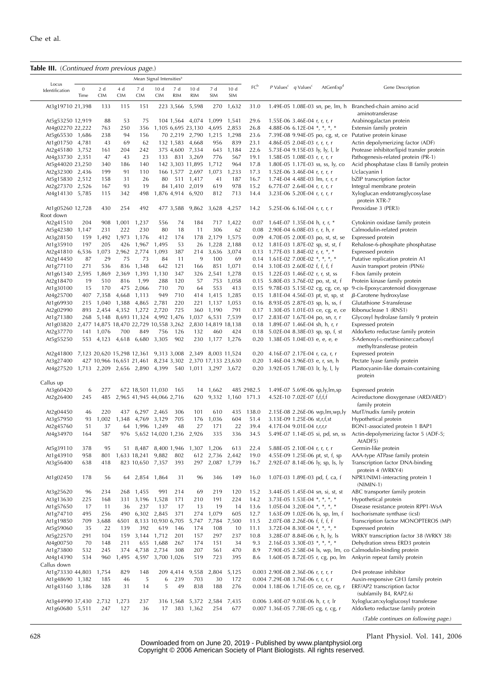# Table III. (Continued from previous page.)

| Locus                                                               |              |                   |                   |                                                          | Mean Signal Intensities <sup>a</sup> |                   |                       |                   |                     |                 |                                                                          |                                               |                                                                             |                                                                           |
|---------------------------------------------------------------------|--------------|-------------------|-------------------|----------------------------------------------------------|--------------------------------------|-------------------|-----------------------|-------------------|---------------------|-----------------|--------------------------------------------------------------------------|-----------------------------------------------|-----------------------------------------------------------------------------|---------------------------------------------------------------------------|
| Identification                                                      | 0<br>Time    | 2 d<br><b>CIM</b> | 4 d<br><b>CIM</b> | 7 d<br><b>CIM</b>                                        | 10d<br><b>CIM</b>                    | 7 d<br><b>RIM</b> | 10d<br><b>RIM</b>     | 7 d<br><b>SIM</b> | 10d<br>SIM          | FC <sup>b</sup> |                                                                          | $P$ Values <sup>c</sup> q Values <sup>c</sup> | AtGenExp <sup>d</sup>                                                       | Gene Description                                                          |
| At3g19710 21,398                                                    |              | 133               | 115               | 151                                                      |                                      | 223 3,566         | 5,598                 | 270               | 1,632               | 31.0            |                                                                          |                                               |                                                                             | 1.49E-05 1.08E-03 sn, pe, lm, h Branched-chain amino acid                 |
| At5g53250 12,919                                                    |              | 88                | 53                | 75                                                       |                                      |                   | 104 1,564 4,074 1,099 |                   | 1,541               | 29.6            |                                                                          | 1.55E-06 3.46E-04 r, r, r, r                  |                                                                             | aminotransferase<br>Arabinogalactan protein                               |
| At4g02270 22,222                                                    |              | 763               | 250               | 356                                                      |                                      |                   | 1,105 6,695 23,130    |                   | 4,695 2,853         | 26.8            |                                                                          |                                               | 4.88E-06 6.12E-04 *, *, *, *                                                | Extensin family protein                                                   |
| At5g65530 1,686                                                     |              | 238               | 94                | 156                                                      |                                      |                   | 70 2,219 2,790        | 1,215             | 1,298               | 23.6            |                                                                          |                                               | 7.39E-08 9.94E-05 po, cg, st, ce                                            | Putative protein kinase                                                   |
| At1g01750 4,781                                                     |              | 43                | 69                | 62                                                       |                                      |                   | 132 1,583 4,668       | 956               | 839                 | 23.1            |                                                                          | 4.86E-05 2.04E-03 r, r, r, r                  |                                                                             | Actin depolymerizing factor (ADF)                                         |
| At2g45180 3,752                                                     |              | 161               | 204               | 242                                                      |                                      |                   | 375 4,600 7,334       | 643               | 1,184               | 22.6            |                                                                          |                                               | 5.73E-04 9.15E-03 ly, ly, l, lr                                             | Protease inhibitor/lipid transfer protein                                 |
| At4g33730 2,351                                                     |              | 47                | 43                | 23                                                       |                                      |                   | 133 831 3,269         | 776               | 567                 | 19.1            |                                                                          | 1.58E-05 1.08E-03 r, r, r, r                  |                                                                             | Pathogenesis-related protein (PR-1)                                       |
| At5g44020 23,250                                                    |              | 340               | 186               | 140                                                      |                                      |                   | 142 3,303 11,895      | 1,712             | 964                 | 17.8            |                                                                          |                                               | 1.80E-05 1.17E-03 ss, ss, ly, co                                            | Acid phosphatase class B family protein                                   |
| At2g32300 2,436                                                     |              | 199               | 91                | 110                                                      |                                      |                   | 166 1,577 2,697       | 1,073             | 1,233               | 17.3            |                                                                          | 1.52E-06 3.46E-04 r, r, r, r                  |                                                                             | Uclacyanin I                                                              |
| At5g15830 2,512                                                     |              | 158               | 31                | 26                                                       |                                      |                   | 80 511 1,417          | 41                | 187                 | 16.7            |                                                                          |                                               | 1.74E-04 4.48E-03 lm, r, r, r                                               | bZIP transcription factor                                                 |
| At2g27370 2,526                                                     |              | 167               | 93                | 19                                                       |                                      |                   | 84 1,410 2,019        | 619               | 978                 | 15.2            |                                                                          | 6.77E-07 2.64E-04 r, r, r, r                  |                                                                             | Integral membrane protein                                                 |
| At4g14130 5,785                                                     |              | 115               | 342               | 498                                                      |                                      |                   | 1,876 4,914 6,920     | 812               | 713                 | 14.4            |                                                                          | 3.23E-06 5.20E-04 r, r, r, r                  |                                                                             | Xyloglucan endotransglycosylase<br>protein XTR-7                          |
| At1g05260 12,728<br>Root down                                       |              | 430               | 254               | 492                                                      |                                      | 477 3,588         | 9,862                 | 3,628             | 4,257               | 14.2            |                                                                          | 5.25E-06 6.16E-04 r, r, r, r                  |                                                                             | Peroxidase 3 (PER3)                                                       |
|                                                                     |              |                   |                   |                                                          |                                      |                   |                       |                   |                     |                 |                                                                          |                                               |                                                                             |                                                                           |
| At2g41510                                                           | 204<br>1,147 | 908<br>231        | 1,001<br>222      | 1,237<br>230                                             | 556<br>80                            | 74<br>18          | 184<br>11             | 717<br>306        | 1,422<br>62         |                 | $0.07$ 1.64E-07 1.35E-04 h, r, r, *<br>0.08 2.90E-04 6.08E-03 r, r, h, r |                                               |                                                                             | Cytokinin oxidase family protein<br>Calmodulin-related protein            |
| At5g42380<br>At3g28150                                              | 159          | 1,492             | 1,973             | 1,176                                                    | 412                                  | 174               | 178                   |                   | 2,179 1,575         |                 |                                                                          |                                               | 0.09 4.70E-05 2.00E-03 po, st, st, se                                       | Expressed protein                                                         |
| At1g35910                                                           | 197          | 205               | 426               | 1,967                                                    | 1,495                                | 53                | 26                    |                   | 1,228 2,188         |                 |                                                                          |                                               | 0.12 1.81E-03 1.87E-02 sp, st, st, f                                        | Rehalose-6-phosphate phosphatase                                          |
| At2g41810                                                           | 6,536        | 1,073             |                   | 2,962 2,774                                              | 1,093                                | 387               | 214                   |                   | 3,636 3,074         |                 | 0.13 1.77E-03 1.84E-02 r, r, $*$ , $*$                                   |                                               |                                                                             | Expressed protein                                                         |
| At2g14450                                                           | 87           | 29                | 75                | 73                                                       | 84                                   | 11                | 9                     | 100               | 69                  |                 |                                                                          |                                               | 0.14 1.61E-02 7.00E-02 *, *, *, *                                           | Putative replication protein A1                                           |
| At1g77110                                                           | 271          | 536               | 836               | 1,348                                                    | 642                                  | 121               | 166                   |                   | 851 1,071           |                 | 0.14 3.10E-03 2.60E-02 f, f, f, f                                        |                                               |                                                                             | Auxin transport protein (PIN6)                                            |
| At1g61340                                                           | 2,595        | 1,869             | 2,369             | 1,393                                                    | 1,130                                | 347               | 326                   |                   | 2,541 1,278         |                 |                                                                          |                                               | 0.15 1.22E-03 1.46E-02 r, r, st, ss                                         | F-box family protein                                                      |
| At2g18470                                                           | 19           | 510               | 816               | 1,99                                                     | 288                                  | 120               | 57                    |                   | 753 1,058           |                 |                                                                          |                                               | 0.15 5.80E-03 3.76E-02 po, st, st, f                                        | Protein kinase family protein                                             |
| At1g30100                                                           | 15           | 170               |                   | 475 2,066                                                | 710                                  | 70                | 64                    | 553               | 413                 |                 |                                                                          |                                               | 0.15 9.78E-03 5.15E-02 cg, cg, ce, sp                                       | 9-cis-Epoxycarotenoid dioxygenase                                         |
| At4g25700                                                           |              | 407 7,358         | 4,668             | 1,113                                                    | 949                                  | 710               | 414                   |                   | 1,415 1,285         |                 |                                                                          |                                               | 0.15 1.81E-04 4.56E-03 pt, st, sp, st                                       | $\beta$ -Carotene hydroxylase                                             |
| At1g69930                                                           |              |                   |                   | 215 1,040 1,388 4,865 2,781                              |                                      | 220               |                       |                   | 221 1,137 1,053     |                 |                                                                          |                                               | 0.16 8.93E-05 2.87E-03 sp, ls, ss, f                                        | Glutathione S-transferase                                                 |
| At2g02990                                                           |              |                   |                   | 893 2,454 4,352 1,272 2,720                              |                                      | 725               |                       | 360 1,190         | 791                 |                 |                                                                          |                                               | 0.17 1.30E-05 1.01E-03 ce, cg, e, ce                                        | Ribonuclease 1 (RNS1)                                                     |
| At1g71380                                                           |              |                   |                   | 268 5,148 8,693 11,324 4,992 1,476                       |                                      |                   |                       |                   | 1,037 6,531 7,539   |                 |                                                                          |                                               | 0.17 2.83E-07 1.67E-04 po, sn, r, r                                         | Glycosyl hydrolase family 9 protein                                       |
| At1g03820                                                           |              |                   |                   | 2,477 14,875 18,470 22,729 10,558 3,262                  |                                      |                   |                       |                   | 2,830 14,819 18,138 |                 |                                                                          |                                               | 0.18 1.89E-07 1.46E-04 sh, h, r, r                                          | Expressed protein                                                         |
| At2g37770                                                           |              | 141 1,076         | 700               | 849                                                      | 756                                  | 126               | 132                   | 460               | 424                 |                 |                                                                          |                                               | 0.18 5.02E-04 8.38E-03 sp, sp, f, st                                        | Aldo/keto reductase family protein                                        |
| At5g55250                                                           |              |                   |                   | 553 4,123 4,618 6,680 3,305                              |                                      | 902               |                       |                   | 230 1,177 1,276     |                 |                                                                          |                                               | 0.20 1.38E-05 1.04E-03 e, e, e, e                                           | S-Adenosyl-L-methionine:carboxyl<br>methyltransferase protein             |
| At2g41800 7,123 20,620 15,298 12,361 9,313 3,008 2,349 8,003 11,524 |              |                   |                   |                                                          |                                      |                   |                       |                   |                     |                 |                                                                          |                                               | 0.20 4.16E-07 2.17E-04 r, ca, r, r                                          | Expressed protein                                                         |
| At3g27400                                                           |              |                   |                   | 427 10,966 16,651 21,461 8,234 3,302 2,370 17,133 23,630 |                                      |                   |                       |                   |                     |                 |                                                                          |                                               | 0.20 1.46E-04 3.96E-03 e, r, sn, h                                          | Pectate lyase family protein                                              |
| At4g27520 1,713 2,209 2,656 2,890 4,399 540 1,011 3,297 3,672       |              |                   |                   |                                                          |                                      |                   |                       |                   |                     |                 |                                                                          |                                               | 0.20 3.92E-05 1.78E-03 lr, ly, l, ly                                        | Plastocyanin-like domain-containing<br>protein                            |
| Callus up                                                           |              |                   |                   |                                                          |                                      |                   |                       |                   |                     |                 |                                                                          |                                               |                                                                             |                                                                           |
| At3g60420<br>At2g26400                                              | 6<br>245     | 277<br>485        |                   | 672 18,501 11,030<br>2,965 41,945 44,066 2,716           |                                      | - 165             | 620                   | 14 1,662<br>9,332 | 1,160 171.3         | 485 2982.5      |                                                                          | 4.52E-10 7.02E-07 f,f,f,f                     | 1.49E-07 5.69E-06 sp,ly,lm,sp                                               | Expressed protein<br>Acireductone dioxygenase (ARD/ARD')                  |
|                                                                     |              |                   |                   |                                                          |                                      |                   |                       |                   |                     |                 |                                                                          |                                               |                                                                             | family protein                                                            |
| At2g04450                                                           | 46           | 220               |                   | 437 6,297 2,465                                          |                                      | 306               | 101                   | 610               | 435                 | 138.0           |                                                                          |                                               | 2.15E-08 2.26E-06 wp, lm, wp, ly                                            | MutT/nudix family protein                                                 |
| At3g57950                                                           | 93           | 1,002             | 1,348             | 4,769 3,129                                              |                                      | 705               | 176                   | 1,036             | 604                 | 51.4            |                                                                          | 3.13E-09 1.25E-06 st,r,f,st                   |                                                                             | Hypothetical protein                                                      |
| At2g45760                                                           | 51           | 37                |                   | 64 1,996 1,249                                           |                                      | 48                | 27                    | 171               | 22                  | 39.4            |                                                                          | 4.17E-04 9.01E-04 r,r,r,r                     |                                                                             | BON1-associated protein 1 BAP1                                            |
| At4g34970                                                           | 164          | 587               | 976               | 5,652 14,020 1,236                                       |                                      |                   | 2,926                 | 335               | 336                 | 34.5            |                                                                          |                                               | 5.49E-07 1.14E-05 si, pd, sn, ss                                            | Actin-depolymerizing factor 5 (ADF-5;<br>AtADF5)                          |
| At5g39110                                                           | 378          | 95                |                   | 51 8,487 8,400 1,946 1,307 1,206                         |                                      |                   |                       |                   | 613                 | 22.4            |                                                                          | 5.88E-05 2.10E-04 r, r, r, r                  |                                                                             | Germin-like protein                                                       |
| At1g43910                                                           | 958          | 801               |                   | 1,633 18,241 9,882                                       |                                      | 802               | 612                   | 2,736             | 2,442               | 19.0            |                                                                          |                                               | 4.55E-09 1.25E-06 pt, st, f, sp                                             | AAA-type ATPase family protein                                            |
| At3g56400                                                           | 638          | 418               |                   | 823 10,650 7,357                                         |                                      | 393               |                       |                   | 297 2,087 1,739     | 16.7            |                                                                          |                                               | 2.92E-07 8.14E-06 ly, sp, ls, ly                                            | Transcription factor DNA-binding<br>protein 4 (WRKY4)                     |
| At1g02450                                                           | 178          | 56                | 64                |                                                          | 2,854 1,864                          | 31                | 96                    | 346               | 149                 | 16.0            |                                                                          |                                               | 1.07E-03 1.89E-03 pd, f, ca, f                                              | NPR1/NIM1-interacting protein 1<br>$(NIMIN-1)$                            |
| At3g25620                                                           | 96           | 234               |                   | 268 1,455                                                | 991                                  | 214               | 69                    | 219               | 120                 | 15.2            |                                                                          |                                               | 3.44E-05 1.45E-04 sn, si, st, st                                            | ABC transporter family protein                                            |
| At3g13630                                                           | 225          | 168               | 331               |                                                          | 3,196 1,528                          | 171               | 210                   | 191               | 224                 | 14.2            |                                                                          |                                               | 3.73E-05 1.53E-04 *, *, *, *                                                | Hypothetical protein                                                      |
| At1g57650                                                           | 17           | 11                | 36                | 237                                                      | 137                                  | 17                | 13                    | 19                | 14                  | 13.6            |                                                                          |                                               | 1.05E-04 3.20E-04 *, *, *, *                                                | Disease resistance protein RPP1-WsA                                       |
| At1g74710                                                           | 495          | 256               | 490               |                                                          | 6,302 2,845                          | 371               | 274                   | 1,079             | 605                 | 12.7            |                                                                          |                                               | 1.63E-09 1.02E-06 ls, sp, lm, f                                             | Isochorismate synthase (icsl)                                             |
| At1g19850                                                           | 709          | 3,688             | 6501              |                                                          | 8,133 10,930 6,705                   |                   | 5,747                 | 7,784             | 7,500               | 11.5            |                                                                          | 2.07E-08 2.26E-06 f, f, f, f                  |                                                                             | Transcription factor MONOPTEROS (MP)                                      |
| At5g59060                                                           | 35           | 22                | 139               | 392                                                      | 619                                  | 146               | 174                   | 108               | 10                  | 11.1            |                                                                          |                                               | 3.72E-04 8.30E-04 *, *, *, *<br>3.28E-07 8.84E-06 r, h, ly, ls              | Expressed protein<br>WRKY transcription factor 38 (WRKY 38)               |
| At5g22570                                                           | 291<br>70    | 104<br>148        | 211               | 159 3,144 1,712<br>655                                   | 1,688                                | 201<br>267        | 157<br>174            | 297<br>151        | 237<br>34           | 10.8<br>9.3     |                                                                          |                                               |                                                                             | Dehydration stress ERD3 protein                                           |
| At4g00750                                                           | 532          | 245               | 374               | 4,738                                                    | 2,734                                | 308               | 207                   | 561               | 470                 | 8.9             |                                                                          |                                               | 2.16E-03 3.30E-03 $*, *, *, *$                                              |                                                                           |
| At1g73800                                                           | 534          | 960               | 1,495             | 4,597                                                    | 3,700 1,026                          |                   | 519                   | 723               | 395                 |                 |                                                                          |                                               | 7.90E-05 2.58E-04 ls, wp, lm, co                                            | Calmodulin-binding protein                                                |
| At4g14390<br>Callus down                                            |              |                   |                   |                                                          |                                      |                   |                       |                   |                     | 8.6             |                                                                          |                                               | 1.60E-05 8.72E-05 r, cg, po, lm                                             | Ankyrin repeat family protein                                             |
| At1g73330 44,803                                                    |              | 1,754             | 829               | 148                                                      |                                      | 209 4,414         | 9,558                 | 2,804             | 5,125               |                 | 0.003 2.90E-08 2.36E-06 r, r, r, r                                       |                                               |                                                                             | Dr4 protease inhibitor                                                    |
| At1g48690 1,382                                                     |              | 185               | 46                | 5                                                        | 6                                    | 239               | 703                   | 30                | 172                 |                 | 0.004 7.29E-08 3.76E-06 r, r, r, r                                       |                                               |                                                                             | Auxin-responsive GH3 family protein                                       |
| At1g43160 3,186                                                     |              | 328               | 31                | 14                                                       | 5                                    | 49                | 838                   | 188               | 276                 |                 |                                                                          |                                               | 0.004 1.18E-06 1.71E-05 ce, ce, cg, r                                       | ERF/AP2 transcription factor<br>(subfamily B4, RAP2.6)                    |
| At3g44990 37,430 2,732<br>At1g60680 5,511                           |              | 247               | 1,273<br>127      | 237<br>36                                                | 17                                   | 316 1,568<br>383  | 5,372<br>1,362        | 2,584<br>254      | 7,435<br>677        |                 |                                                                          |                                               | 0.006 3.40E-07 9.03E-06 h, r, r, lr<br>0.007 1.36E-05 7.78E-05 cg, r, cg, r | Xyloglucan:xyloglucosyl transferase<br>Aldo/keto reductase family protein |
|                                                                     |              |                   |                   |                                                          |                                      |                   |                       |                   |                     |                 |                                                                          |                                               |                                                                             | (Table continues on following page.)                                      |

628 Plant Physiol. Vol. 141, 2006 Downloaded from on June 20, 2019 - Published by [www.plantphysiol.org](http://www.plantphysiol.org) Copyright © 2006 American Society of Plant Biologists. All rights reserved.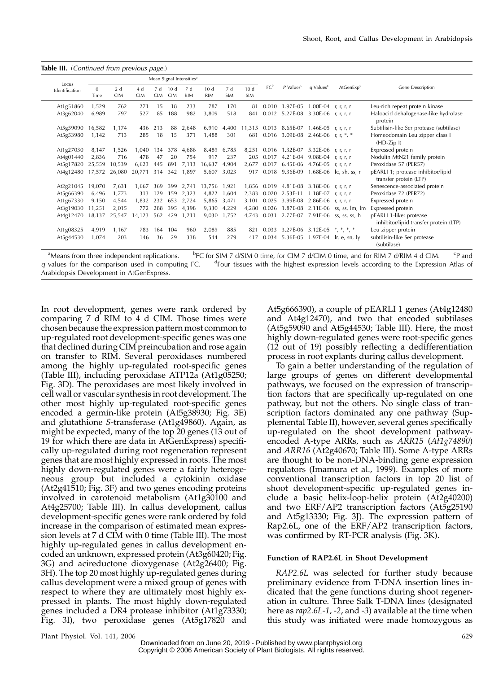Table III. (Continued from previous page.)

| Locus          |                  |                  |                  |                   |                   | Mean Signal Intensities <sup>a</sup> |                               |                   |                   |                 |                                           |                         |                                        |                                                                   |  |
|----------------|------------------|------------------|------------------|-------------------|-------------------|--------------------------------------|-------------------------------|-------------------|-------------------|-----------------|-------------------------------------------|-------------------------|----------------------------------------|-------------------------------------------------------------------|--|
| Identification | $\Omega$<br>Time | 2d<br><b>CIM</b> | 4d<br><b>CIM</b> | 7 d<br><b>CIM</b> | 10d<br><b>CIM</b> | 7 d<br><b>RIM</b>                    | 10 <sub>d</sub><br><b>RIM</b> | 7 d<br><b>SIM</b> | 10d<br><b>SIM</b> | FC <sup>b</sup> | $P$ Values <sup>c</sup>                   | $q$ Values <sup>c</sup> | AtGenExp <sup>d</sup>                  | Gene Description                                                  |  |
| At1g51860      | 1,529            | 762              | 271              | 15                | 18                | 233                                  | 787                           | 170               | 81                |                 | 0.010 1.97E-05 1.00E-04 r, r, r, r        |                         |                                        | Leu-rich repeat protein kinase                                    |  |
| At3g62040      | 6,989            | 797              | 527              | 85                | 188               | 982                                  | 3,809                         | 518               | 841               |                 | 0.012 5.27E-08 3.30E-06 r, r, r, r        |                         |                                        | Haloacid dehalogenase-like hydrolase<br>protein                   |  |
| At5g59090      | 16,582           | 1.174            | 436              | 213               | 88                | 2,648                                | 6,910                         | 4,400             |                   |                 | 11,315 0.013 8.65E-07 1.46E-05 r, r, r, r |                         |                                        | Subtilisin-like Ser protease (subtilase)                          |  |
| At5g53980      | 1,142            | 713              | 285              | 18                | 15                | 371                                  | 1,488                         | 301               | 681               |                 | 0.016 3.09E-08 2.46E-06 r, r, $*, *$      |                         |                                        | Homeodomain Leu zipper class I<br>$(HD-Zip I)$                    |  |
| At1g27030      | 8,147            | 1,526            | 1,040            | 134               | 378               | 4,686                                | 8,489 6,785                   |                   | 8,251             |                 | $0.016$ 1.32E-07 5.32E-06 r, r, r, r      |                         |                                        | Expressed protein                                                 |  |
| At4g01440      | 2,836            | 716              | 478              | 47                | 20                | 754                                  | 917                           | 237               | 205               | 0.017           | 4.21E-04 9.08E-04 r, r, r, r              |                         |                                        | Nodulin MtN21 family protein                                      |  |
| At5g17820      | 25.559           | 10,539           | 6,623            | 445               | 891               | 7,113                                | 16,637                        | 4,904             | 2,677             |                 | 0.017 6.45E-06 4.76E-05 r, r, r, r        |                         |                                        | Peroxidase 57 (PER57)                                             |  |
| At4g12480      | 17,572           | 26,080           | 20,771           | 314               | 342               | 1,897                                | 5,607                         | 3,023             | 917               |                 |                                           |                         | 0.018 9.36E-09 1.68E-06 lc, sh, ss, r  | pEARLI 1; protease inhibitor/lipid<br>transfer protein (LTP)      |  |
| At2g21045      | 19,070           | 7,631            | 1,667            | 369               | 399               | 2,741                                | 13,756 1,921                  |                   |                   |                 | 1,856 0.019 4.81E-08 3.18E-06 r, r, r, r  |                         |                                        | Senescence-associated protein                                     |  |
| At5g66390      | 6,496            | 1,773            | 313              | 129               | 159               | 2,323                                | 4,822 1,604                   |                   | 2,383             |                 | $0.020$ 2.53E-11 1.18E-07 r, r, r, r      |                         |                                        | Peroxidase 72 (PER72)                                             |  |
| At1g67330      | 9,150            | 4,544            | 1,832            | 232               | 653               | 2,724                                | 5,865 3,471                   |                   | 3.101             |                 | 0.025 3.99E-08 2.86E-06 r, r, r, r        |                         |                                        | Expressed protein                                                 |  |
| At3g19030      | 11,251           | 2,015            | 772              | 288               | 395               | 4,398                                | 9,330 4,229                   |                   | 4.280             |                 |                                           |                         | 0.026 1.87E-08 2.11E-06 ss, ss, lm, lm | Expressed protein                                                 |  |
| At4g12470      | 18,137           | 25,547           | 14,123           | 562               | 429               | 1,211                                | 9,030 1,752                   |                   | 4.743             |                 |                                           |                         | 0.031 2.77E-07 7.91E-06 ss, ss, ss, h  | pEARLI 1-like; protease<br>inhibitor/lipid transfer protein (LTP) |  |
| At1g08325      | 4,919            | 1,167            | 783              | 164               | 104               | 960                                  | 2,089                         | 885               | 821               |                 | 0.033 3.27E-06 3.12E-05 $*, *, *, *$      |                         |                                        | Leu zipper protein                                                |  |
| At5g44530      | 1,074            | 203              | 146              | 36                | 29                | 338                                  | 544                           | 279               | 417               | 0.034           |                                           |                         | 5.36E-05 1.97E-04 lr, e, sn, ly        | subtilisin-like Ser protease<br>(subtilase)                       |  |

<sup>a</sup>Means from three independent replications. b <sup>b</sup>FC for SIM 7 d/SIM 0 time, for CIM 7 d/CIM 0 time, and for RIM 7 d/RIM 4 d CIM.  ${}^cP$  and  $q$  values for the comparison used in computing FC. Four tissues with the highest expression levels according to the Expression Atlas of Arabidopsis Development in AtGenExpress.

In root development, genes were rank ordered by comparing 7 d RIM to 4 d CIM. Those times were chosen because the expression pattern most common to up-regulated root development-specific genes was one that declined during CIM preincubation and rose again on transfer to RIM. Several peroxidases numbered among the highly up-regulated root-specific genes (Table III), including peroxidase ATP12a (At1g05250; Fig. 3D). The peroxidases are most likely involved in cell wall or vascular synthesis in root development. The other most highly up-regulated root-specific genes encoded a germin-like protein (At5g38930; Fig. 3E) and glutathione S-transferase (At1g49860). Again, as might be expected, many of the top 20 genes (13 out of 19 for which there are data in AtGenExpress) specifically up-regulated during root regeneration represent genes that are most highly expressed in roots. The most highly down-regulated genes were a fairly heterogeneous group but included a cytokinin oxidase (At2g41510; Fig. 3F) and two genes encoding proteins involved in carotenoid metabolism (At1g30100 and At4g25700; Table III). In callus development, callus development-specific genes were rank ordered by fold increase in the comparison of estimated mean expression levels at 7 d CIM with 0 time (Table III). The most highly up-regulated genes in callus development encoded an unknown, expressed protein (At3g60420; Fig. 3G) and acireductone dioxygenase (At2g26400; Fig. 3H). The top 20 most highly up-regulated genes during callus development were a mixed group of genes with respect to where they are ultimately most highly expressed in plants. The most highly down-regulated genes included a DR4 protease inhibitor (At1g73330; Fig. 3I), two peroxidase genes (At5g17820 and

At5g666390), a couple of pEARLI 1 genes (At4g12480 and At4g12470), and two that encoded subtilases (At5g59090 and At5g44530; Table III). Here, the most highly down-regulated genes were root-specific genes (12 out of 19) possibly reflecting a dedifferentiation process in root explants during callus development.

To gain a better understanding of the regulation of large groups of genes on different developmental pathways, we focused on the expression of transcription factors that are specifically up-regulated on one pathway, but not the others. No single class of transcription factors dominated any one pathway (Supplemental Table II), however, several genes specifically up-regulated on the shoot development pathwayencoded A-type ARRs, such as ARR15 (At1g74890) and ARR16 (At2g40670; Table III). Some A-type ARRs are thought to be non-DNA-binding gene expression regulators (Imamura et al., 1999). Examples of more conventional transcription factors in top 20 list of shoot development-specific up-regulated genes include a basic helix-loop-helix protein (At2g40200) and two ERF/AP2 transcription factors (At5g25190 and At5g13330; Fig. 3J). The expression pattern of Rap2.6L, one of the ERF/AP2 transcription factors, was confirmed by RT-PCR analysis (Fig. 3K).

#### Function of RAP2.6L in Shoot Development

RAP2.6L was selected for further study because preliminary evidence from T-DNA insertion lines indicated that the gene functions during shoot regeneration in culture. Three Salk T-DNA lines (designated here as rap2.6L-1, -2, and -3) available at the time when this study was initiated were made homozygous as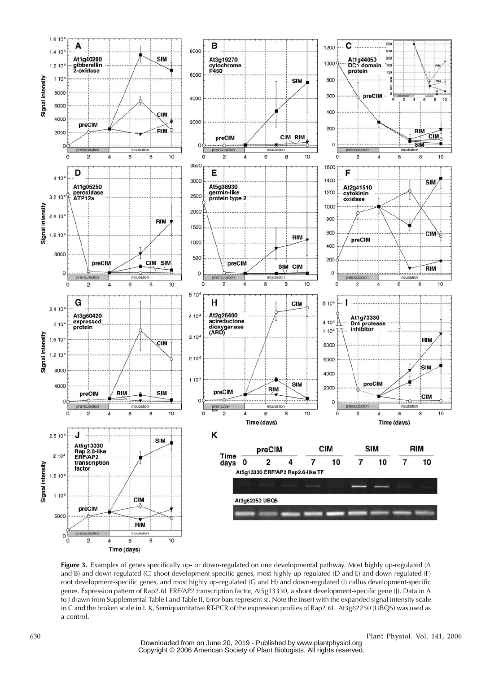

Figure 3. Examples of genes specifically up- or down-regulated on one developmental pathway. Most highly up-regulated (A and B) and down-regulated (C) shoot development-specific genes, most highly up-regulated (D and E) and down-regulated (F) root development-specific genes, and most highly up-regulated (G and H) and down-regulated (I) callus development-specific genes. Expression pattern of Rap2.6L ERF/AP2 transcription factor, At5g13330, a shoot development-specific gene (J). Data in A to J drawn from Supplemental Table I and Table II. Error bars represent SE. Note the insert with the expanded signal intensity scale in C and the broken scale in I. K, Semiquantitative RT-PCR of the expression profiles of Rap2.6L. At3g62250 (UBQ5) was used as a control.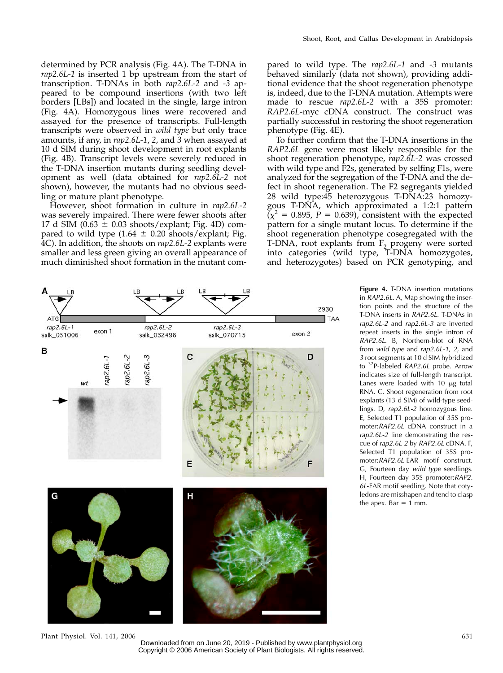determined by PCR analysis (Fig. 4A). The T-DNA in rap2.6L-1 is inserted 1 bp upstream from the start of transcription. T-DNAs in both rap2.6L-2 and -3 appeared to be compound insertions (with two left borders [LBs]) and located in the single, large intron (Fig. 4A). Homozygous lines were recovered and assayed for the presence of transcripts. Full-length transcripts were observed in wild type but only trace amounts, if any, in rap2.6L-1, 2, and 3 when assayed at 10 d SIM during shoot development in root explants (Fig. 4B). Transcript levels were severely reduced in the T-DNA insertion mutants during seedling development as well (data obtained for rap2.6L-2 not shown), however, the mutants had no obvious seedling or mature plant phenotype.

However, shoot formation in culture in rap2.6L-2 was severely impaired. There were fewer shoots after 17 d SIM (0.63  $\pm$  0.03 shoots/explant; Fig. 4D) compared to wild type  $(1.64 \pm 0.20 \text{ shoots}/\text{explant}; \text{Fig.}$ 4C). In addition, the shoots on rap2.6L-2 explants were smaller and less green giving an overall appearance of much diminished shoot formation in the mutant com-

pared to wild type. The rap2.6L-1 and -3 mutants behaved similarly (data not shown), providing additional evidence that the shoot regeneration phenotype is, indeed, due to the T-DNA mutation. Attempts were made to rescue rap2.6L-2 with a 35S promoter: RAP2.6L-myc cDNA construct. The construct was partially successful in restoring the shoot regeneration phenotype (Fig. 4E).

To further confirm that the T-DNA insertions in the RAP2.6L gene were most likely responsible for the shoot regeneration phenotype, rap2.6L-2 was crossed with wild type and F2s, generated by selfing F1s, were analyzed for the segregation of the T-DNA and the defect in shoot regeneration. The F2 segregants yielded 28 wild type:45 heterozygous T-DNA:23 homozygous T-DNA, which approximated a 1:2:1 pattern  $\tilde{p}(\chi^2 = 0.895, P = 0.639)$ , consistent with the expected pattern for a single mutant locus. To determine if the shoot regeneration phenotype cosegregated with the T-DNA, root explants from  $F_2$  progeny were sorted into categories (wild type, T-DNA homozygotes, and heterozygotes) based on PCR genotyping, and

> Figure 4. T-DNA insertion mutations in RAP2.6L. A, Map showing the insertion points and the structure of the T-DNA inserts in RAP2.6L. T-DNAs in rap2.6L-2 and rap2.6L-3 are inverted repeat inserts in the single intron of RAP2.6L. B, Northern-blot of RNA from wild type and rap2.6L-1, 2, and 3 root segments at 10 d SIM hybridized to <sup>32</sup>P-labeled RAP2.6L probe. Arrow indicates size of full-length transcript. Lanes were loaded with  $10 \mu g$  total RNA. C, Shoot regeneration from root explants (13 d SIM) of wild-type seedlings. D, rap2.6L-2 homozygous line. E, Selected T1 population of 35S promoter:RAP2.6L cDNA construct in a rap2.6L-2 line demonstrating the rescue of rap2.6L-2 by RAP2.6L cDNA. F, Selected T1 population of 35S promoter:RAP2.6L-EAR motif construct. G, Fourteen day wild type seedlings. H, Fourteen day 35S promoter:RAP2. 6L-EAR motif seedling. Note that cotyledons are misshapen and tend to clasp

the apex. Bar  $= 1$  mm.



Plant Physiol. Vol. 141, 2006 631

Downloaded from on June 20, 2019 - Published by [www.plantphysiol.org](http://www.plantphysiol.org) Copyright © 2006 American Society of Plant Biologists. All rights reserved.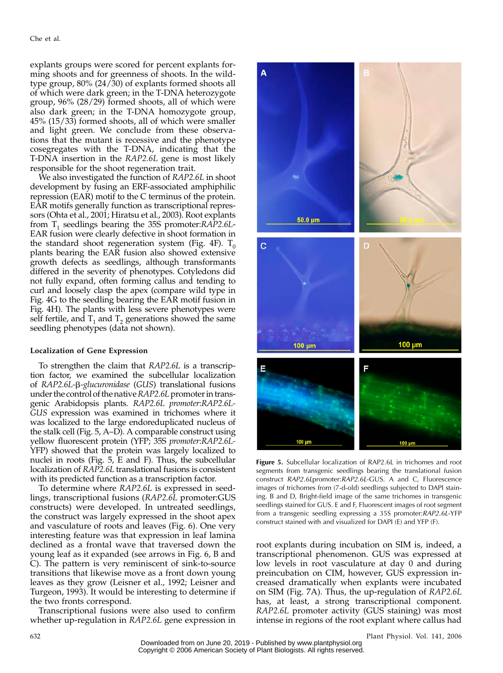explants groups were scored for percent explants forming shoots and for greenness of shoots. In the wildtype group, 80% (24/30) of explants formed shoots all of which were dark green; in the T-DNA heterozygote group, 96% (28/29) formed shoots, all of which were also dark green; in the T-DNA homozygote group, 45% (15/33) formed shoots, all of which were smaller and light green. We conclude from these observations that the mutant is recessive and the phenotype cosegregates with the T-DNA, indicating that the T-DNA insertion in the RAP2.6L gene is most likely responsible for the shoot regeneration trait.

We also investigated the function of RAP2.6L in shoot development by fusing an ERF-associated amphiphilic repression (EAR) motif to the C terminus of the protein. EAR motifs generally function as transcriptional repressors (Ohta et al., 2001; Hiratsu et al., 2003). Root explants from  $T_1$  seedlings bearing the 35S promoter: $RAP2.6L-$ EAR fusion were clearly defective in shoot formation in the standard shoot regeneration system (Fig. 4F).  $T_0$ plants bearing the EAR fusion also showed extensive growth defects as seedlings, although transformants differed in the severity of phenotypes. Cotyledons did not fully expand, often forming callus and tending to curl and loosely clasp the apex (compare wild type in Fig. 4G to the seedling bearing the EAR motif fusion in Fig. 4H). The plants with less severe phenotypes were self fertile, and  $T_1$  and  $T_2$  generations showed the same seedling phenotypes (data not shown).

## Localization of Gene Expression

To strengthen the claim that RAP2.6L is a transcription factor, we examined the subcellular localization of RAP2.6L-β-glucuronidase (GUS) translational fusions under the control of the native RAP2.6L promoter in transgenic Arabidopsis plants. RAP2.6L promoter:RAP2.6L-GUS expression was examined in trichomes where it was localized to the large endoreduplicated nucleus of the stalk cell (Fig. 5, A–D). A comparable construct using yellow fluorescent protein (YFP; 35S promoter:RAP2.6L-YFP) showed that the protein was largely localized to nuclei in roots (Fig. 5, E and F). Thus, the subcellular localization of RAP2.6L translational fusions is consistent with its predicted function as a transcription factor.

To determine where RAP2.6L is expressed in seedlings, transcriptional fusions (RAP2.6L promoter:GUS constructs) were developed. In untreated seedlings, the construct was largely expressed in the shoot apex and vasculature of roots and leaves (Fig. 6). One very interesting feature was that expression in leaf lamina declined as a frontal wave that traversed down the young leaf as it expanded (see arrows in Fig. 6, B and C). The pattern is very reminiscent of sink-to-source transitions that likewise move as a front down young leaves as they grow (Leisner et al., 1992; Leisner and Turgeon, 1993). It would be interesting to determine if the two fronts correspond.

Transcriptional fusions were also used to confirm whether up-regulation in RAP2.6L gene expression in



Figure 5. Subcellular localization of RAP2.6L in trichomes and root segments from transgenic seedlings bearing the translational fusion construct RAP2.6Lpromoter:RAP2.6L-GUS. A and C, Fluorescence images of trichomes from (7-d-old) seedlings subjected to DAPI staining. B and D, Bright-field image of the same trichomes in transgenic seedlings stained for GUS. E and F, Fluorescent images of root segment from a transgenic seedling expressing a 35S promoter: RAP2.6L-YFP construct stained with and visualized for DAPI (E) and YFP (F).

root explants during incubation on SIM is, indeed, a transcriptional phenomenon. GUS was expressed at low levels in root vasculature at day 0 and during preincubation on CIM, however, GUS expression increased dramatically when explants were incubated on SIM (Fig. 7A). Thus, the up-regulation of RAP2.6L has, at least, a strong transcriptional component. RAP2.6L promoter activity (GUS staining) was most intense in regions of the root explant where callus had

Downloaded from on June 20, 2019 - Published by [www.plantphysiol.org](http://www.plantphysiol.org) Copyright © 2006 American Society of Plant Biologists. All rights reserved.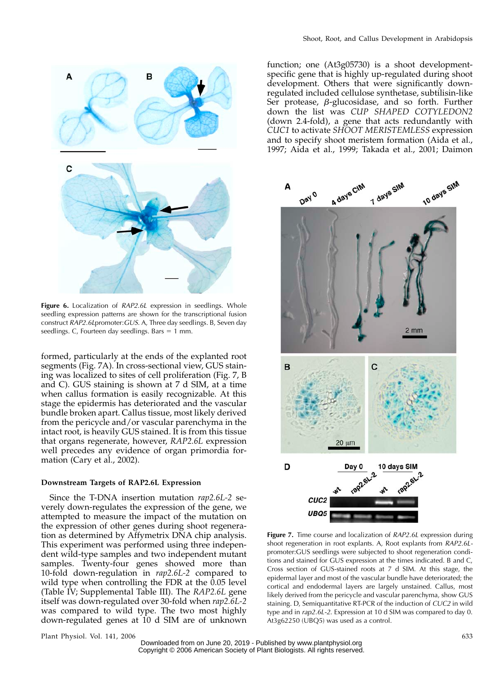

Figure 6. Localization of RAP2.6L expression in seedlings. Whole seedling expression patterns are shown for the transcriptional fusion construct RAP2.6Lpromoter:GUS. A, Three day seedlings. B, Seven day seedlings. C, Fourteen day seedlings. Bars  $= 1$  mm.

formed, particularly at the ends of the explanted root segments (Fig. 7A). In cross-sectional view, GUS staining was localized to sites of cell proliferation (Fig. 7, B and C). GUS staining is shown at 7 d SIM, at a time when callus formation is easily recognizable. At this stage the epidermis has deteriorated and the vascular bundle broken apart. Callus tissue, most likely derived from the pericycle and/or vascular parenchyma in the intact root, is heavily GUS stained. It is from this tissue that organs regenerate, however, RAP2.6L expression well precedes any evidence of organ primordia formation (Cary et al., 2002).

# Downstream Targets of RAP2.6L Expression

Since the T-DNA insertion mutation rap2.6L-2 severely down-regulates the expression of the gene, we attempted to measure the impact of the mutation on the expression of other genes during shoot regeneration as determined by Affymetrix DNA chip analysis. This experiment was performed using three independent wild-type samples and two independent mutant samples. Twenty-four genes showed more than 10-fold down-regulation in rap2.6L-2 compared to wild type when controlling the FDR at the 0.05 level (Table IV; Supplemental Table III). The RAP2.6L gene itself was down-regulated over 30-fold when rap2.6L-2 was compared to wild type. The two most highly down-regulated genes at 10 d SIM are of unknown

function; one (At3g05730) is a shoot developmentspecific gene that is highly up-regulated during shoot development. Others that were significantly downregulated included cellulose synthetase, subtilisin-like Ser protease,  $\beta$ -glucosidase, and so forth. Further down the list was CUP SHAPED COTYLEDON2 (down 2.4-fold), a gene that acts redundantly with CUC1 to activate SHOOT MERISTEMLESS expression and to specify shoot meristem formation (Aida et al., 1997; Aida et al., 1999; Takada et al., 2001; Daimon



Figure 7. Time course and localization of RAP2.6L expression during shoot regeneration in root explants. A, Root explants from RAP2.6Lpromoter:GUS seedlings were subjected to shoot regeneration conditions and stained for GUS expression at the times indicated. B and C, Cross section of GUS-stained roots at 7 d SIM. At this stage, the epidermal layer and most of the vascular bundle have deteriorated; the cortical and endodermal layers are largely unstained. Callus, most likely derived from the pericycle and vascular parenchyma, show GUS staining. D, Semiquantitative RT-PCR of the induction of CUC2 in wild type and in rap2.6L-2. Expression at 10 d SIM was compared to day 0. At3g62250 (UBQ5) was used as a control.

Plant Physiol. Vol. 141, 2006 633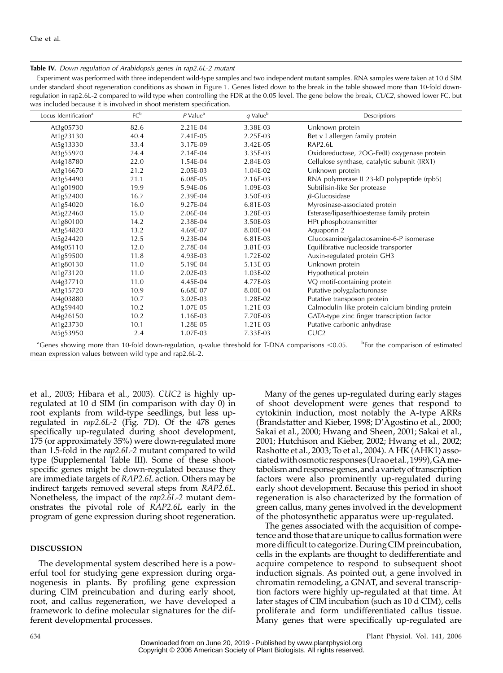# Table IV. Down regulation of Arabidopsis genes in rap2.6L-2 mutant

Experiment was performed with three independent wild-type samples and two independent mutant samples. RNA samples were taken at 10 d SIM under standard shoot regeneration conditions as shown in Figure 1. Genes listed down to the break in the table showed more than 10-fold downregulation in rap2.6L-2 compared to wild type when controlling the FDR at the 0.05 level. The gene below the break, CUC2, showed lower FC, but was included because it is involved in shoot meristem specification.

| Locus Identification <sup>a</sup>                                                                       | FC <sup>b</sup> | $P$ Value $^{\rm b}$ | $q$ Value $^{b}$ | Descriptions                                         |
|---------------------------------------------------------------------------------------------------------|-----------------|----------------------|------------------|------------------------------------------------------|
| At3g05730                                                                                               | 82.6            | 2.21E-04             | 3.38E-03         | Unknown protein                                      |
| At1g23130                                                                                               | 40.4            | 7.41E-05             | 2.25E-03         | Bet v I allergen family protein                      |
| At5g13330                                                                                               | 33.4            | 3.17E-09             | 3.42E-05         | RAP2.6L                                              |
| At3g55970                                                                                               | 24.4            | 2.14E-04             | 3.35E-03         | Oxidoreductase, 2OG-Fe(II) oxygenase protein         |
| At4g18780                                                                                               | 22.0            | 1.54E-04             | 2.84E-03         | Cellulose synthase, catalytic subunit (IRX1)         |
| At3g16670                                                                                               | 21.2            | 2.05E-03             | 1.04E-02         | Unknown protein                                      |
| At3g54490                                                                                               | 21.1            | 6.08E-05             | 2.16E-03         | RNA polymerase II 23-kD polypeptide (rpb5)           |
| At1g01900                                                                                               | 19.9            | 5.94E-06             | 1.09E-03         | Subtilisin-like Ser protease                         |
| At1g52400                                                                                               | 16.7            | 2.39E-04             | 3.50E-03         | $\beta$ -Glucosidase                                 |
| At1g54020                                                                                               | 16.0            | 9.27E-04             | 6.81E-03         | Myrosinase-associated protein                        |
| At5g22460                                                                                               | 15.0            | 2.06E-04             | 3.28E-03         | Esterase/lipase/thioesterase family protein          |
| At1g80100                                                                                               | 14.2            | 2.38E-04             | 3.50E-03         | HPt phosphotransmitter                               |
| At3g54820                                                                                               | 13.2            | 4.69E-07             | 8.00E-04         | Aquaporin 2                                          |
| At5g24420                                                                                               | 12.5            | 9.23E-04             | 6.81E-03         | Glucosamine/galactosamine-6-P isomerase              |
| At4g05110                                                                                               | 12.0            | 2.78E-04             | 3.81E-03         | Equilibrative nucleoside transporter                 |
| At1g59500                                                                                               | 11.8            | 4.93E-03             | 1.72E-02         | Auxin-regulated protein GH3                          |
| At1g80130                                                                                               | 11.0            | 5.19E-04             | 5.13E-03         | Unknown protein                                      |
| At1g73120                                                                                               | 11.0            | 2.02E-03             | 1.03E-02         | Hypothetical protein                                 |
| At4g37710                                                                                               | 11.0            | 4.45E-04             | 4.77E-03         | VQ motif-containing protein                          |
| At3g15720                                                                                               | 10.9            | 6.68E-07             | 8.00E-04         | Putative polygalacturonase                           |
| At4g03880                                                                                               | 10.7            | 3.02E-03             | 1.28E-02         | Putative transposon protein                          |
| At3g59440                                                                                               | 10.2            | 1.07E-05             | 1.21E-03         | Calmodulin-like protein calcium-binding protein      |
| At4g26150                                                                                               | 10.2            | 1.16E-03             | 7.70E-03         | GATA-type zinc finger transcription factor           |
| At1g23730                                                                                               | 10.1            | 1.28E-05             | 1.21E-03         | Putative carbonic anhydrase                          |
| At5g53950                                                                                               | 2.4             | 1.07E-03             | 7.33E-03         | CUC <sub>2</sub>                                     |
| $^{8}Conoc$ showing more than 10 fold down requision, qualue threshold for TDNA comparisons $\leq 0.05$ |                 |                      |                  | $b_{\text{Low} + \text{ho}}$ comparison of ostimated |

<sup>a</sup>Genes showing more than 10-fold down-regulation, q-value threshold for T-DNA comparisons <0.05. <sup>b</sup> For the comparison of estimated mean expression values between wild type and rap2.6L-2.

et al., 2003; Hibara et al., 2003). CUC2 is highly upregulated at 10 d SIM (in comparison with day 0) in root explants from wild-type seedlings, but less upregulated in rap2.6L-2 (Fig. 7D). Of the 478 genes specifically up-regulated during shoot development, 175 (or approximately 35%) were down-regulated more than 1.5-fold in the rap2.6L-2 mutant compared to wild type (Supplemental Table III). Some of these shootspecific genes might be down-regulated because they are immediate targets of RAP2.6L action. Others may be indirect targets removed several steps from RAP2.6L. Nonetheless, the impact of the rap2.6L-2 mutant demonstrates the pivotal role of RAP2.6L early in the program of gene expression during shoot regeneration.

## DISCUSSION

The developmental system described here is a powerful tool for studying gene expression during organogenesis in plants. By profiling gene expression during CIM preincubation and during early shoot, root, and callus regeneration, we have developed a framework to define molecular signatures for the different developmental processes.

Many of the genes up-regulated during early stages of shoot development were genes that respond to cytokinin induction, most notably the A-type ARRs (Brandstatter and Kieber, 1998; D'Agostino et al., 2000; Sakai et al., 2000; Hwang and Sheen, 2001; Sakai et al., 2001; Hutchison and Kieber, 2002; Hwang et al., 2002; Rashotte et al., 2003; To et al., 2004). A HK (AHK1) associatedwithosmotic responses (Uraoet al., 1999),GAmetabolism and response genes, and a variety of transcription factors were also prominently up-regulated during early shoot development. Because this period in shoot regeneration is also characterized by the formation of green callus, many genes involved in the development of the photosynthetic apparatus were up-regulated.

The genes associated with the acquisition of competence and those that are unique to callus formation were more difficult to categorize. During CIM preincubation, cells in the explants are thought to dedifferentiate and acquire competence to respond to subsequent shoot induction signals. As pointed out, a gene involved in chromatin remodeling, a GNAT, and several transcription factors were highly up-regulated at that time. At later stages of CIM incubation (such as 10 d CIM), cells proliferate and form undifferentiated callus tissue. Many genes that were specifically up-regulated are

634 Plant Physiol. Vol. 141, 2006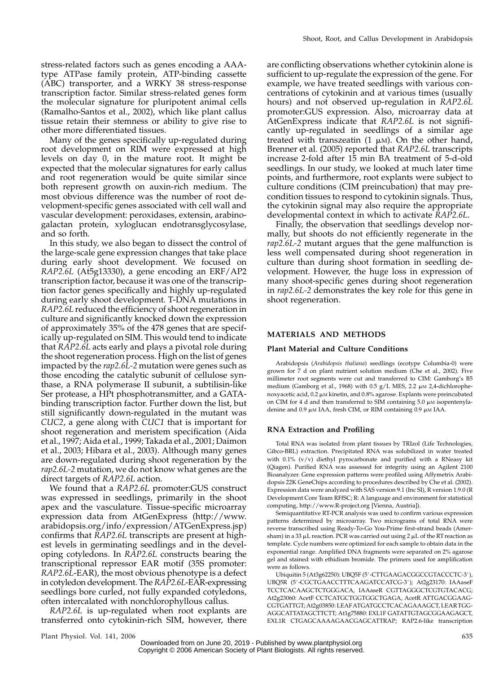stress-related factors such as genes encoding a AAAtype ATPase family protein, ATP-binding cassette (ABC) transporter, and a WRKY 38 stress-response transcription factor. Similar stress-related genes form the molecular signature for pluripotent animal cells (Ramalho-Santos et al., 2002), which like plant callus tissue retain their stemness or ability to give rise to other more differentiated tissues.

Many of the genes specifically up-regulated during root development on RIM were expressed at high levels on day 0, in the mature root. It might be expected that the molecular signatures for early callus and root regeneration would be quite similar since both represent growth on auxin-rich medium. The most obvious difference was the number of root development-specific genes associated with cell wall and vascular development: peroxidases, extensin, arabinogalactan protein, xyloglucan endotransglycosylase, and so forth.

In this study, we also began to dissect the control of the large-scale gene expression changes that take place during early shoot development. We focused on RAP2.6L (At5g13330), a gene encoding an ERF/AP2 transcription factor, because it was one of the transcription factor genes specifically and highly up-regulated during early shoot development. T-DNA mutations in RAP2.6L reduced the efficiency of shoot regeneration in culture and significantly knocked down the expression of approximately 35% of the 478 genes that are specifically up-regulated on SIM. This would tend to indicate that RAP2.6L acts early and plays a pivotal role during the shoot regeneration process. High on the list of genes impacted by the  $rap2.6L-2$  mutation were genes such as those encoding the catalytic subunit of cellulose synthase, a RNA polymerase II subunit, a subtilisin-like Ser protease, a HPt phosphotransmitter, and a GATAbinding transcription factor. Further down the list, but still significantly down-regulated in the mutant was CUC2, a gene along with CUC1 that is important for shoot regeneration and meristem specification (Aida et al., 1997; Aida et al., 1999; Takada et al., 2001; Daimon et al., 2003; Hibara et al., 2003). Although many genes are down-regulated during shoot regeneration by the rap2.6L-2 mutation, we do not know what genes are the direct targets of RAP2.6L action.

We found that a RAP2.6L promoter:GUS construct was expressed in seedlings, primarily in the shoot apex and the vasculature. Tissue-specific microarray expression data from AtGenExpress (http://www. arabidopsis.org/info/expression/ATGenExpress.jsp) confirms that RAP2.6L transcripts are present at highest levels in germinating seedlings and in the developing cotyledons. In RAP2.6L constructs bearing the transcriptional repressor EAR motif (35S promoter: RAP2.6L-EAR), the most obvious phenotype is a defect in cotyledon development. The RAP2.6L-EAR-expressing seedlings bore curled, not fully expanded cotyledons, often intercalated with nonchlorophyllous callus.

RAP2.6L is up-regulated when root explants are transferred onto cytokinin-rich SIM, however, there

are conflicting observations whether cytokinin alone is sufficient to up-regulate the expression of the gene. For example, we have treated seedlings with various concentrations of cytokinin and at various times (usually hours) and not observed up-regulation in RAP2.6L promoter:GUS expression. Also, microarray data at AtGenExpress indicate that RAP2.6L is not significantly up-regulated in seedlings of a similar age treated with transzeatin  $(1 \mu M)$ . On the other hand, Brenner et al. (2005) reported that RAP2.6L transcripts increase 2-fold after 15 min BA treatment of 5-d-old seedlings. In our study, we looked at much later time points, and furthermore, root explants were subject to culture conditions (CIM preincubation) that may precondition tissues to respond to cytokinin signals. Thus, the cytokinin signal may also require the appropriate developmental context in which to activate RAP2.6L.

Finally, the observation that seedlings develop normally, but shoots do not efficiently regenerate in the rap2.6L-2 mutant argues that the gene malfunction is less well compensated during shoot regeneration in culture than during shoot formation in seedling development. However, the huge loss in expression of many shoot-specific genes during shoot regeneration in rap2.6L-2 demonstrates the key role for this gene in shoot regeneration.

## MATERIALS AND METHODS

#### Plant Material and Culture Conditions

Arabidopsis (Arabidopsis thaliana) seedlings (ecotype Columbia-0) were grown for 7 d on plant nutrient solution medium (Che et al., 2002). Five millimeter root segments were cut and transferred to CIM: Gamborg's B5 medium (Gamborg et al., 1968) with 0.5 g/L MES, 2.2  $\mu$ M 2,4-dichlorophenoxyacetic acid,  $0.2 \mu$ M kinetin, and  $0.8\%$  agarose. Explants were preincubated on CIM for 4 d and then transferred to SIM containing  $5.0 \mu$ M isopentenyladenine and 0.9  $\mu$ M IAA, fresh CIM, or RIM containing 0.9  $\mu$ M IAA.

#### RNA Extraction and Profiling

Total RNA was isolated from plant tissues by TRIzol (Life Technologies, Gibco-BRL) extraction. Precipitated RNA was solubilized in water treated with 0.1% (v/v) diethyl pyrocarbonate and purified with a RNeasy kit (Qiagen). Purified RNA was assessed for integrity using an Agilent 2100 Bioanalyzer. Gene expression patterns were profiled using Affymetrix Arabidopsis 22K GeneChips according to procedures described by Che et al. (2002). Expression data were analyzed with SAS version 9.1 (Inc SI), R version 1.9.0 (R Development Core Team RFfSC; R: A language and environment for statistical computing, http://www.R-project.org [Vienna, Austria]).

Semiquantitative RT-PCR analysis was used to confirm various expression patterns determined by microarray. Two micrograms of total RNA were reverse transcribed using Ready-To-Go You-Prime first-strand beads (Amersham) in a 33  $\mu$ L reaction. PCR was carried out using 2  $\mu$ L of the RT reaction as template. Cycle numbers were optimized for each sample to obtain data in the exponential range. Amplified DNA fragments were separated on 2% agarose gel and stained with ethidium bromide. The primers used for amplification were as follows.

Ubiquitin 5 (At3g62250): UBQ5F (5'-CTTGAAGACGGCCGTACCCTC-3'), UBQ5R (5'-CGCTGAACCTTTCAAGATCCATCG-3'); At2g23170: IAAaseF TCCTCACAAGCTCTGGGACA, IAAaseR CGTTAGGGCTCGTGTACACG; At2g23060: AcetF CCTCATGCTGGTGGCTGAGA, AcetR ATTGACGGAAG-CGTGATTGT; At2g03850: LEAFATGATGCCTCACAGAAAGCT, LEAR TGG-AGGCATTATAGCTTCTT; At1g75880: EXL1F GATATTGTAGCGGAAGAGCT, EXL1R CTGAGCAAAAGAACGAGCATTRAP; RAP2.6-like transcription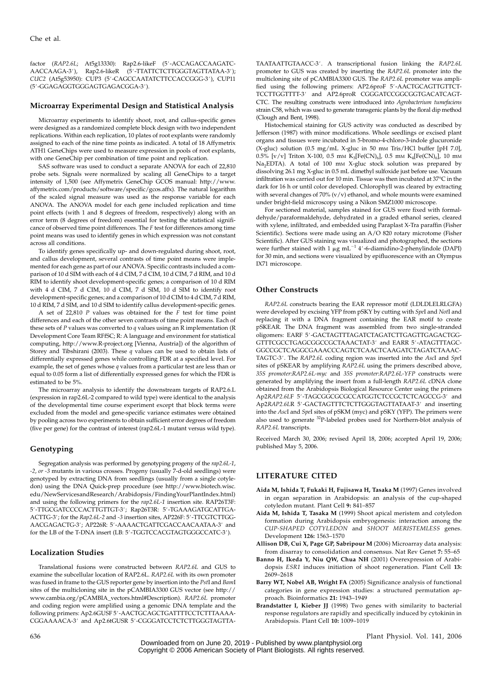factor (RAP2.6L; At5g13330): Rap2.6-likeF (5'-ACCAGACCAAGATC-AACCAAGA-3'), Rap2.6-likeR (5'-TTATTCTCTTGGGTAGTTATAA-3'); CUC2 (At5g53950): CUP3 (5'-CAGCCAATATCTTCCACCGGG-3'), CUP11 (5'-GGAGAGGTGGGAGTGAGACGGA-3').

## Microarray Experimental Design and Statistical Analysis

Microarray experiments to identify shoot, root, and callus-specific genes were designed as a randomized complete block design with two independent replications. Within each replication, 10 plates of root explants were randomly assigned to each of the nine time points as indicated. A total of 18 Affymetrix ATH1 GeneChips were used to measure expression in pools of root explants, with one GeneChip per combination of time point and replication.

SAS software was used to conduct a separate ANOVA for each of 22,810 probe sets. Signals were normalized by scaling all GeneChips to a target intensity of 1,500 (see Affymetrix GeneChip GCOS manual: http://www. affymetrix.com/products/software/specific/gcos.affx). The natural logarithm of the scaled signal measure was used as the response variable for each ANOVA. The ANOVA model for each gene included replication and time point effects (with 1 and 8 degrees of freedom, respectively) along with an error term (8 degrees of freedom) essential for testing the statistical significance of observed time point differences. The F test for differences among time point means was used to identify genes in which expression was not constant across all conditions.

To identify genes specifically up- and down-regulated during shoot, root, and callus development, several contrasts of time point means were implemented for each gene as part of our ANOVA. Specific contrasts included a comparison of 10 d SIM with each of 4 d CIM, 7 d CIM, 10 d CIM, 7 d RIM, and 10 d RIM to identify shoot development-specific genes; a comparison of 10 d RIM with 4 d CIM, 7 d CIM, 10 d CIM, 7 d SIM, 10 d SIM to identify root development-specific genes; and a comparison of 10 d CIM to 4 d CIM, 7 d RIM, 10 d RIM, 7 d SIM, and 10 d SIM to identify callus development-specific genes.

A set of  $22,810$  P values was obtained for the F test for time point differences and each of the other seven contrasts of time point means. Each of these sets of  $P$  values was converted to  $q$  values using an  $R$  implementation ( $R$ Development Core Team RFfSC; R: A language and environment for statistical computing, http://www.R-project.org [Vienna, Austria]) of the algorithm of Storey and Tibshirani (2003). These  $q$  values can be used to obtain lists of differentially expressed genes while controlling FDR at a specified level. For example, the set of genes whose  $q$  values from a particular test are less than or equal to 0.05 form a list of differentially expressed genes for which the FDR is estimated to be 5%.

The microarray analysis to identify the downstream targets of RAP2.6.L (expression in rap2.6L-2 compared to wild type) were identical to the analysis of the developmental time course experiment except that block terms were excluded from the model and gene-specific variance estimates were obtained by pooling across two experiments to obtain sufficient error degrees of freedom (five per gene) for the contrast of interest (rap2.6L-1 mutant versus wild type).

#### Genotyping

Segregation analysis was performed by genotyping progeny of the rap2.6L-1, -2, or -3 mutants in various crosses. Progeny (usually 7-d-old seedlings) were genotyped by extracting DNA from seedlings (usually from a single cotyledon) using the DNA Quick-prep procedure (see http://www.biotech.wisc. edu/NewServicesandResearch/Arabidopsis/FindingYourPlantIndex.html) and using the following primers for the rap2.6L-1 insertion site. RAP26T3F: 5'-TTGCGATCCCCACTTGTTGT-3'; Rap26T3R: 5'-TGAAAGATGCATTGA-ACTTG-3'; for the Rap2.6L-2 and -3 insertion sites, AP226F: 5'-TTCGTCTTGG-AACGAGACTG-3'; AP226R: 5'-AAAACTGATTCGACCAACAATAA-3' and for the LB of the T-DNA insert (LB: 5'-TGGTCCACGTAGTGGGCCATC-3').

### Localization Studies

Translational fusions were constructed between RAP2.6L and GUS to examine the subcellular location of RAP2.6L. RAP2.6L with its own promoter was fused in frame to the GUS reporter gene by insertion into the PstI and BamI sites of the multicloning site in the pCAMBIA3300 GUS vector (see http:// www.cambia.org/pCAMBIA\_vectors.html#Description). RAP2.6L promoter and coding region were amplified using a genomic DNA template and the following primers: Ap2.6GUSF 5'-AACTGCAGCTGATTTTCCTCTTTAAAA-CGGAAAACA-3' and Ap2.6tGUSR 5'-CGGGATCCTCTCTTGGGTAGTTA-

TAATAATTGTAACC-3'. A transcriptional fusion linking the RAP2.6L promoter to GUS was created by inserting the RAP2.6L promoter into the multicloning site of pCAMBIA3300 GUS. The RAP2.6L promoter was amplified using the following primers: AP2.6proF 5'-AACTGCAGTTGTTCT-TCCTTGGTTTT-3' and AP2.6proR CGGGATCCGGCGGTGACATCAGT-CTC. The resulting constructs were introduced into Agrobacterium tumefaciens strain C58, which was used to generate transgenic plants by the floral dip method (Clough and Bent, 1998).

Histochemical staining for GUS activity was conducted as described by Jefferson (1987) with minor modifications. Whole seedlings or excised plant organs and tissues were incubated in 5-bromo-4-chloro-3-indole glucuronide  $(X-gluc)$  solution (0.5 mg/mL X-gluc in 50 mm Tris/HCl buffer [pH 7.0], 0.5% [v/v] Triton X-100, 0.5 mm K<sub>3</sub>[Fe(CN)<sub>6</sub>], 0.5 mm K<sub>4</sub>[Fe(CN)<sub>6</sub>], 10 mm Na<sub>2</sub>EDTA). A total of 100 mm X-gluc stock solution was prepared by dissolving 26.1 mg X-gluc in 0.5 mL dimethyl sulfoxide just before use. Vacuum infiltration was carried out for  $10$  min. Tissue was then incubated at  $37^{\circ}\mathrm{C}$  in the dark for 16 h or until color developed. Chlorophyll was cleared by extracting with several changes of 70% (v/v) ethanol, and whole mounts were examined under bright-field microscopy using a Nikon SMZ1000 microscope.

For sectioned material, samples stained for GUS were fixed with formaldehyde/paraformaldehyde, dehydrated in a graded ethanol series, cleared with xylene, infiltrated, and embedded using Paraplast X-Tra paraffin (Fisher Scientific). Sections were made using an A/O 820 rotary microtome (Fisher Scientific). After GUS staining was visualized and photographed, the sections were further stained with 1  $\mu$ g mL<sup>-1</sup> 4'-6-diamidino-2-phenylindole (DAPI) for 30 min, and sections were visualized by epifluorescence with an Olympus IX71 microscope.

## Other Constructs

RAP2.6L constructs bearing the EAR repressor motif (LDLDLELRLGFA) were developed by excising YFP from pSKY by cutting with SpeI and NotI and replacing it with a DNA fragment containing the EAR motif to create pSKEAR. The DNA fragment was assembled from two single-stranded oligomers: EARF 5#-GACTAGTTTAGATCTAGATCTTGAGTTGAGACTGG-GTTTCGCCTGAGCGGCCGCTAAACTAT-3' and EARR 5'-ATAGTTTAGC-GGCCGCTCAGGCGAAACCCAGTCTCAACTCAAGATCTAGATCTAAAC-TAGTC-3'. The RAP2.6L coding region was inserted into the AscI and SpeI sites of pSKEAR by amplifying RAP2.6L using the primers described above, 35S promoter:RAP2.6L-myc and 35S promoter:RAP2.6L-YFP constructs were generated by amplifying the insert from a full-length RAP2.6L cDNA clone obtained from the Arabidopsis Biological Resource Center using the primers Ap2RAP2.6LF 5'-TAGCGGCGCGCCATGGTCTCCGCTCTCAGCCG-3' and Ap2RAP2.6LR 5'-GACTAGTTTCTCTTGGGTAGTTATAAT-3' and inserting into the AscI and SpeI sites of pSKM (myc) and pSKY (YFP). The primers were also used to generate 32P-labeled probes used for Northern-blot analysis of RAP2.6L transcripts.

Received March 30, 2006; revised April 18, 2006; accepted April 19, 2006; published May 5, 2006.

# LITERATURE CITED

- Aida M, Ishida T, Fukaki H, Fujisawa H, Tasaka M (1997) Genes involved in organ separation in Arabidopsis: an analysis of the cup-shaped cotyledon mutant. Plant Cell 9: 841–857
- Aida M, Ishida T, Tasaka M (1999) Shoot apical meristem and cotyledon formation during Arabidopsis embryogenesis: interaction among the CUP-SHAPED COTYLEDON and SHOOT MERISTEMLESS genes. Development 126: 1563–1570
- Allison DB, Cui X, Page GP, Sabripour M (2006) Microarray data analysis: from disarray to consolidation and consensus. Nat Rev Genet 7: 55–65
- Banno H, Ikeda Y, Niu QW, Chua NH (2001) Overexpression of Arabidopsis ESR1 induces initiation of shoot regeneration. Plant Cell 13: 2609–2618
- Barry WT, Nobel AB, Wright FA (2005) Significance analysis of functional categories in gene expression studies: a structured permutation approach. Bioinformatics 21: 1943–1949
- Brandstatter I, Kieber JJ (1998) Two genes with similarity to bacterial response regulators are rapidly and specifically induced by cytokinin in Arabidopsis. Plant Cell 10: 1009–1019

636 Plant Physiol. Vol. 141, 2006